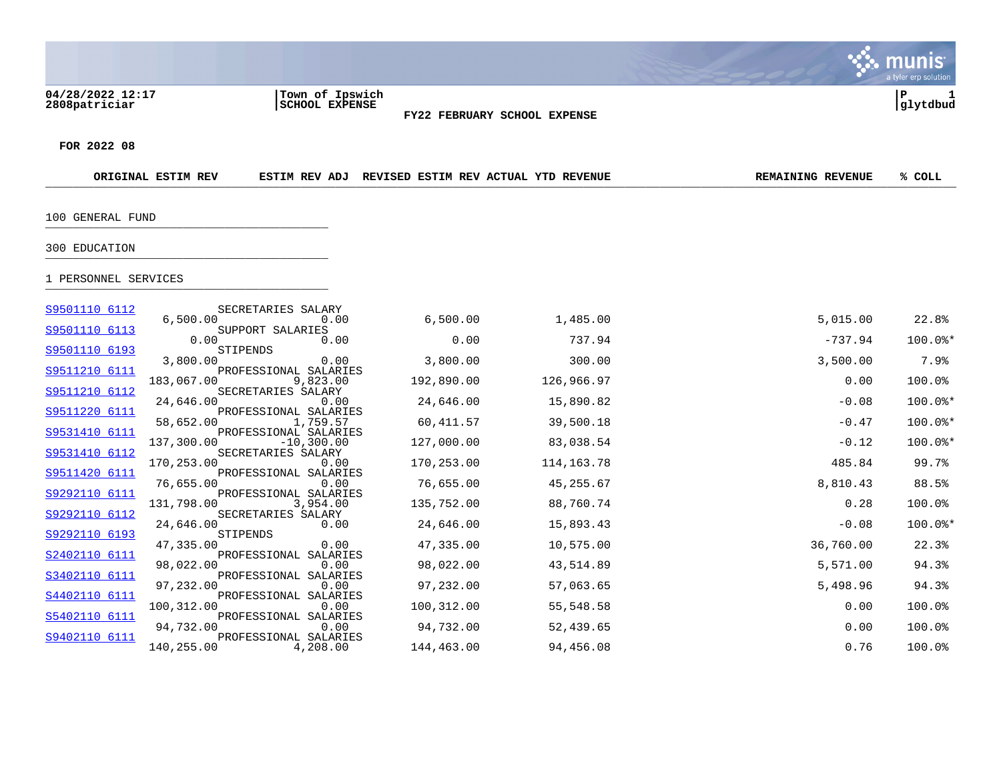$\therefore$  munis a tyler erp solution **04/28/2022 12:17 |Town of Ipswich |P 1 2808patriciar |SCHOOL EXPENSE |glytdbud FY22 FEBRUARY SCHOOL EXPENSE FOR 2022 08**

| ORIGINAL ESTIM REV | ESTIM REV ADJ | <b>REVISED ESTIM REV ACTUAL</b> | <b>YTD REVENUE</b> | <b>REMAINING REVENUE</b> | COLL |
|--------------------|---------------|---------------------------------|--------------------|--------------------------|------|
|                    |               |                                 |                    |                          |      |

100 GENERAL FUND \_\_\_\_\_\_\_\_\_\_\_\_\_\_\_\_\_\_\_\_\_\_\_\_\_\_\_\_\_\_\_\_\_\_\_\_\_\_\_\_\_

## 300 EDUCATION \_\_\_\_\_\_\_\_\_\_\_\_\_\_\_\_\_\_\_\_\_\_\_\_\_\_\_\_\_\_\_\_\_\_\_\_\_\_\_\_\_

## 1 PERSONNEL SERVICES \_\_\_\_\_\_\_\_\_\_\_\_\_\_\_\_\_\_\_\_\_\_\_\_\_\_\_\_\_\_\_\_\_\_\_\_\_\_\_\_\_

| S9501110 6112 | SECRETARIES SALARY               |                               |            |              |           |           |
|---------------|----------------------------------|-------------------------------|------------|--------------|-----------|-----------|
|               | 6,500.00                         | 0.00                          | 6,500.00   | 1,485.00     | 5,015.00  | 22.8%     |
| S9501110 6113 | SUPPORT SALARIES<br>0.00         | 0.00                          | 0.00       | 737.94       | $-737.94$ | $100.0$ * |
| S9501110 6193 | STIPENDS                         |                               |            |              |           |           |
| S9511210 6111 | 3,800.00                         | 0.00<br>PROFESSIONAL SALARIES | 3,800.00   | 300.00       | 3,500.00  | 7.9%      |
|               | 183,067.00                       | 9,823.00                      | 192,890.00 | 126,966.97   | 0.00      | 100.0%    |
| S9511210 6112 | SECRETARIES SALARY               |                               |            |              |           |           |
| S9511220 6111 | 24,646.00                        | 0.00<br>PROFESSIONAL SALARIES | 24,646.00  | 15,890.82    | $-0.08$   | $100.0$ * |
|               | 58,652.00                        | 1,759.57                      | 60,411.57  | 39,500.18    | $-0.47$   | 100.0%*   |
| S9531410 6111 |                                  | PROFESSIONAL SALARIES         |            |              |           |           |
| S9531410 6112 | 137,300.00<br>SECRETARIES SALARY | $-10,300.00$                  | 127,000.00 | 83,038.54    | $-0.12$   | 100.0%*   |
|               | 170,253.00                       | 0.00                          | 170,253.00 | 114, 163. 78 | 485.84    | 99.7%     |
| S9511420 6111 |                                  | PROFESSIONAL SALARIES         |            |              |           |           |
|               | 76,655.00                        | 0.00                          | 76,655.00  | 45,255.67    | 8,810.43  | 88.5%     |
| S9292110 6111 |                                  | PROFESSIONAL SALARIES         |            |              |           |           |
| S9292110 6112 | 131,798.00<br>SECRETARIES SALARY | 3,954.00                      | 135,752.00 | 88,760.74    | 0.28      | 100.0%    |
|               | 24,646.00                        | 0.00                          | 24,646.00  | 15,893.43    | $-0.08$   | $100.0$ * |
| S9292110 6193 | STIPENDS                         |                               |            |              |           |           |
|               | 47,335.00                        | 0.00                          | 47,335.00  | 10,575.00    | 36,760.00 | 22.3%     |
| S2402110 6111 |                                  | PROFESSIONAL SALARIES         |            |              |           |           |
|               | 98,022.00                        | 0.00                          | 98,022.00  | 43,514.89    | 5,571.00  | 94.3%     |
| S3402110 6111 | 97,232.00                        | PROFESSIONAL SALARIES<br>0.00 | 97,232.00  | 57,063.65    | 5,498.96  | 94.3%     |
| S4402110 6111 |                                  | PROFESSIONAL SALARIES         |            |              |           |           |
|               | 100,312.00                       | 0.00                          | 100,312.00 | 55,548.58    | 0.00      | 100.0%    |
| S5402110 6111 |                                  | PROFESSIONAL SALARIES         |            |              |           |           |
|               | 94,732.00                        | 0.00                          | 94,732.00  | 52,439.65    | 0.00      | 100.0%    |
| S9402110 6111 |                                  | PROFESSIONAL SALARIES         |            |              |           |           |
|               | 140,255.00                       | 4,208.00                      | 144,463.00 | 94,456.08    | 0.76      | 100.0%    |
|               |                                  |                               |            |              |           |           |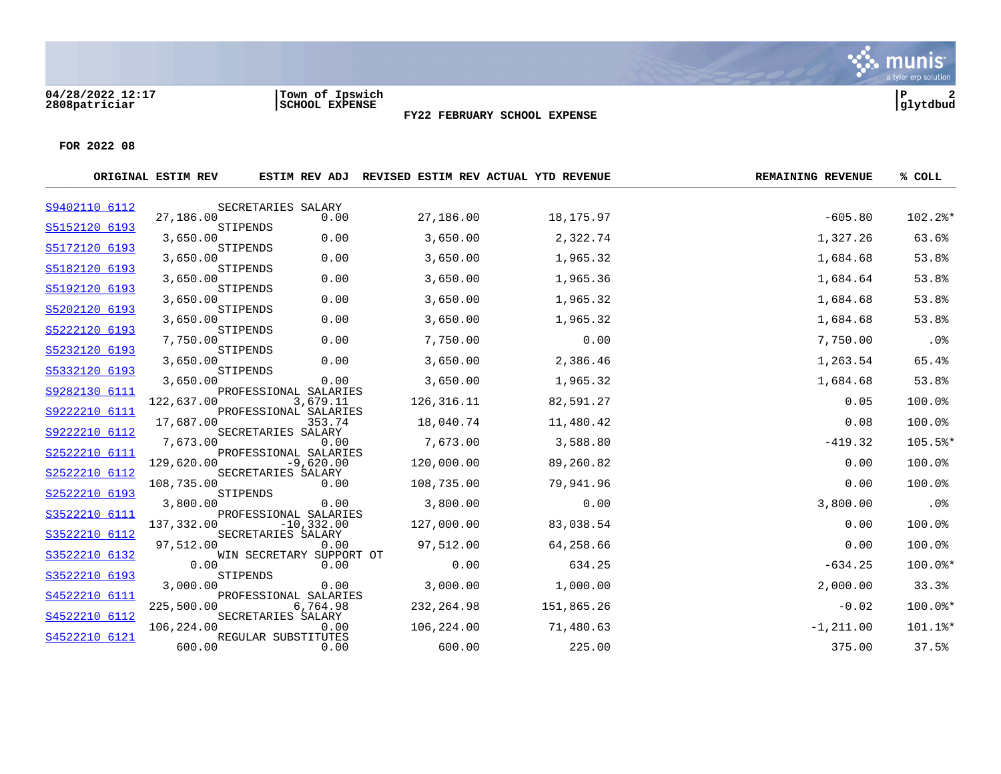#### **04/28/2022 12:17 |Town of Ipswich |P 2 2808patriciar |SCHOOL EXPENSE |glytdbud**



**FY22 FEBRUARY SCHOOL EXPENSE**

|               | ORIGINAL ESTIM REV |                                        |              | ESTIM REV ADJ REVISED ESTIM REV ACTUAL YTD REVENUE | <b>REMAINING REVENUE</b> | % COLL     |
|---------------|--------------------|----------------------------------------|--------------|----------------------------------------------------|--------------------------|------------|
| S9402110 6112 |                    | SECRETARIES SALARY                     |              |                                                    |                          |            |
| S5152120 6193 | 27,186.00          | 0.00<br>STIPENDS                       | 27,186.00    | 18,175.97                                          | $-605.80$                | $102.2$ %* |
|               | 3,650.00           | 0.00                                   | 3,650.00     | 2,322.74                                           | 1,327.26                 | 63.6%      |
| S5172120 6193 | 3,650.00           | STIPENDS<br>0.00                       | 3,650.00     | 1,965.32                                           | 1,684.68                 | 53.8%      |
| S5182120 6193 | 3,650.00           | STIPENDS<br>0.00                       | 3,650.00     | 1,965.36                                           | 1,684.64                 | 53.8%      |
| S5192120 6193 | 3,650.00           | STIPENDS<br>0.00                       | 3,650.00     | 1,965.32                                           | 1,684.68                 | 53.8%      |
| S5202120 6193 | 3,650.00           | STIPENDS<br>0.00                       | 3,650.00     | 1,965.32                                           | 1,684.68                 | 53.8%      |
| S5222120 6193 | 7,750.00           | STIPENDS<br>0.00                       | 7,750.00     | 0.00                                               | 7,750.00                 | .0%        |
| S5232120 6193 | 3,650.00           | STIPENDS<br>0.00                       | 3,650.00     | 2,386.46                                           | 1,263.54                 | 65.4%      |
| S5332120 6193 | 3,650.00           | STIPENDS<br>0.00                       | 3,650.00     | 1,965.32                                           | 1,684.68                 | 53.8%      |
| S9282130 6111 | 122,637.00         | PROFESSIONAL SALARIES<br>3,679.11      | 126, 316. 11 | 82,591.27                                          | 0.05                     | 100.0%     |
| S9222210 6111 | 17,687.00          | PROFESSIONAL SALARIES<br>353.74        | 18,040.74    | 11,480.42                                          | 0.08                     | 100.0%     |
| S9222210 6112 | 7,673.00           | SECRETARIES SALARY<br>0.00             | 7,673.00     | 3,588.80                                           | $-419.32$                | 105.5%*    |
| S2522210 6111 | 129,620.00         | PROFESSIONAL SALARIES<br>$-9,620.00$   | 120,000.00   | 89,260.82                                          | 0.00                     | 100.0%     |
| S2522210 6112 | 108,735.00         | SECRETARIES SALARY<br>0.00             | 108,735.00   | 79,941.96                                          | 0.00                     | 100.0%     |
| S2522210 6193 | 3,800.00           | STIPENDS<br>0.00                       | 3,800.00     | 0.00                                               | 3,800.00                 | .0%        |
| S3522210 6111 | 137,332.00         | PROFESSIONAL SALARIES<br>$-10, 332.00$ | 127,000.00   | 83,038.54                                          | 0.00                     | 100.0%     |
| S3522210 6112 | 97,512.00          | SECRETARIES SALARY<br>0.00             | 97,512.00    | 64,258.66                                          | 0.00                     | 100.0%     |
| S3522210 6132 | 0.00               | WIN SECRETARY SUPPORT OT<br>0.00       | 0.00         | 634.25                                             | $-634.25$                | $100.0$ *  |
| S3522210 6193 | 3,000.00           | STIPENDS<br>0.00                       | 3,000.00     | 1,000.00                                           | 2,000.00                 | 33.3%      |
| S4522210 6111 | 225,500.00         | PROFESSIONAL SALARIES<br>6,764.98      | 232, 264.98  | 151,865.26                                         | $-0.02$                  | $100.0$ *  |
| S4522210 6112 | 106,224.00         | SECRETARIES SALARY<br>0.00             | 106,224.00   | 71,480.63                                          | $-1, 211.00$             | 101.1%*    |
| S4522210 6121 | 600.00             | REGULAR SUBSTITUTES<br>0.00            | 600.00       | 225.00                                             | 375.00                   | 37.5%      |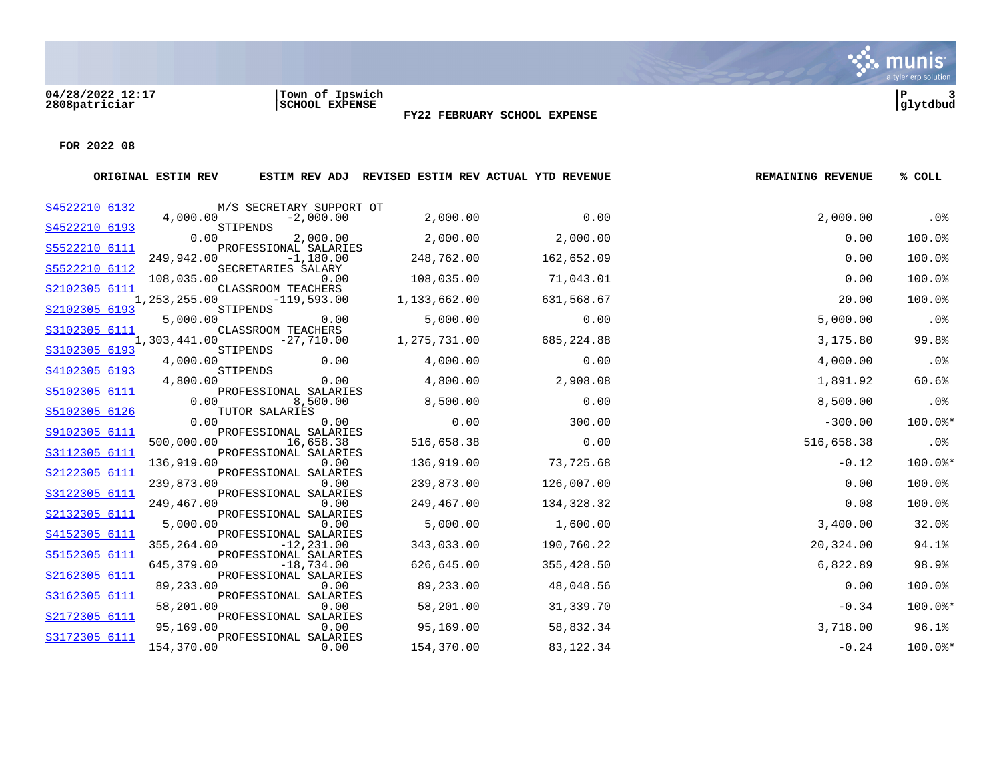#### **04/28/2022 12:17 |Town of Ipswich |P 3 2808patriciar |SCHOOL EXPENSE |glytdbud**



**FY22 FEBRUARY SCHOOL EXPENSE**

|               | ORIGINAL ESTIM REV |                                       |              | ESTIM REV ADJ REVISED ESTIM REV ACTUAL YTD REVENUE | <b>REMAINING REVENUE</b> | % COLL    |
|---------------|--------------------|---------------------------------------|--------------|----------------------------------------------------|--------------------------|-----------|
| S4522210 6132 |                    | M/S SECRETARY SUPPORT OT              |              |                                                    |                          |           |
| S4522210 6193 | 4,000.00           | $-2,000.00$<br>STIPENDS               | 2,000.00     | 0.00                                               | 2,000.00                 | .0%       |
|               | 0.00               | 2,000.00                              | 2,000.00     | 2,000.00                                           | 0.00                     | 100.0%    |
| S5522210 6111 | 249,942.00         | PROFESSIONAL SALARIES<br>$-1,180.00$  | 248,762.00   | 162,652.09                                         | 0.00                     | 100.0%    |
| S5522210 6112 |                    | SECRETARIES SALARY                    |              |                                                    |                          |           |
| S2102305 6111 | 108,035.00         | 0.00<br>CLASSROOM TEACHERS            | 108,035.00   | 71,043.01                                          | 0.00                     | 100.0%    |
|               | 1,253,255.00       | $-119,593.00$                         | 1,133,662.00 | 631,568.67                                         | 20.00                    | 100.0%    |
| S2102305 6193 | 5,000.00           | STIPENDS<br>0.00                      | 5,000.00     | 0.00                                               | 5,000.00                 | .0%       |
| S3102305 6111 |                    | CLASSROOM TEACHERS                    |              |                                                    |                          |           |
| S3102305 6193 | 1,303,441.00       | $-27,710.00$<br>STIPENDS              | 1,275,731.00 | 685,224.88                                         | 3,175.80                 | 99.8%     |
|               | 4,000.00           | 0.00                                  | 4,000.00     | 0.00                                               | 4,000.00                 | .0%       |
| S4102305 6193 | 4,800.00           | STIPENDS<br>0.00                      | 4,800.00     | 2,908.08                                           | 1,891.92                 | 60.6%     |
| S5102305 6111 |                    | PROFESSIONAL SALARIES                 |              |                                                    |                          |           |
| S5102305 6126 | 0.00               | 8,500.00<br>TUTOR SALARIES            | 8,500.00     | 0.00                                               | 8,500.00                 | .0%       |
|               | 0.00               | 0.00                                  | 0.00         | 300.00                                             | $-300.00$                | $100.0$ * |
| S9102305 6111 | 500,000.00         | PROFESSIONAL SALARIES<br>16,658.38    | 516,658.38   | 0.00                                               | 516,658.38               | $.0\%$    |
| S3112305 6111 | 136,919.00         | PROFESSIONAL SALARIES<br>0.00         | 136,919.00   | 73,725.68                                          | $-0.12$                  | $100.0$ * |
| S2122305 6111 |                    | PROFESSIONAL SALARIES                 |              |                                                    |                          |           |
|               | 239,873.00         | 0.00                                  | 239,873.00   | 126,007.00                                         | 0.00                     | 100.0%    |
| S3122305 6111 | 249,467.00         | PROFESSIONAL SALARIES<br>0.00         | 249,467.00   | 134,328.32                                         | 0.08                     | 100.0%    |
| S2132305 6111 |                    | PROFESSIONAL SALARIES                 |              |                                                    |                          |           |
| S4152305 6111 | 5,000.00           | 0.00<br>PROFESSIONAL SALARIES         | 5,000.00     | 1,600.00                                           | 3,400.00                 | 32.0%     |
|               | 355,264.00         | $-12, 231.00$                         | 343,033.00   | 190,760.22                                         | 20,324.00                | 94.1%     |
| S5152305 6111 | 645,379.00         | PROFESSIONAL SALARIES<br>$-18,734.00$ | 626,645.00   | 355,428.50                                         | 6,822.89                 | 98.9%     |
| S2162305 6111 |                    | PROFESSIONAL SALARIES                 |              |                                                    |                          |           |
| S3162305 6111 | 89,233.00          | 0.00<br>PROFESSIONAL SALARIES         | 89,233.00    | 48,048.56                                          | 0.00                     | 100.0%    |
|               | 58,201.00          | 0.00                                  | 58,201.00    | 31,339.70                                          | $-0.34$                  | $100.0$ * |
| S2172305 6111 | 95,169.00          | PROFESSIONAL SALARIES<br>0.00         | 95,169.00    | 58,832.34                                          | 3,718.00                 | 96.1%     |
| S3172305 6111 |                    | PROFESSIONAL SALARIES                 |              |                                                    |                          |           |
|               | 154,370.00         | 0.00                                  | 154,370.00   | 83, 122. 34                                        | $-0.24$                  | $100.0$ * |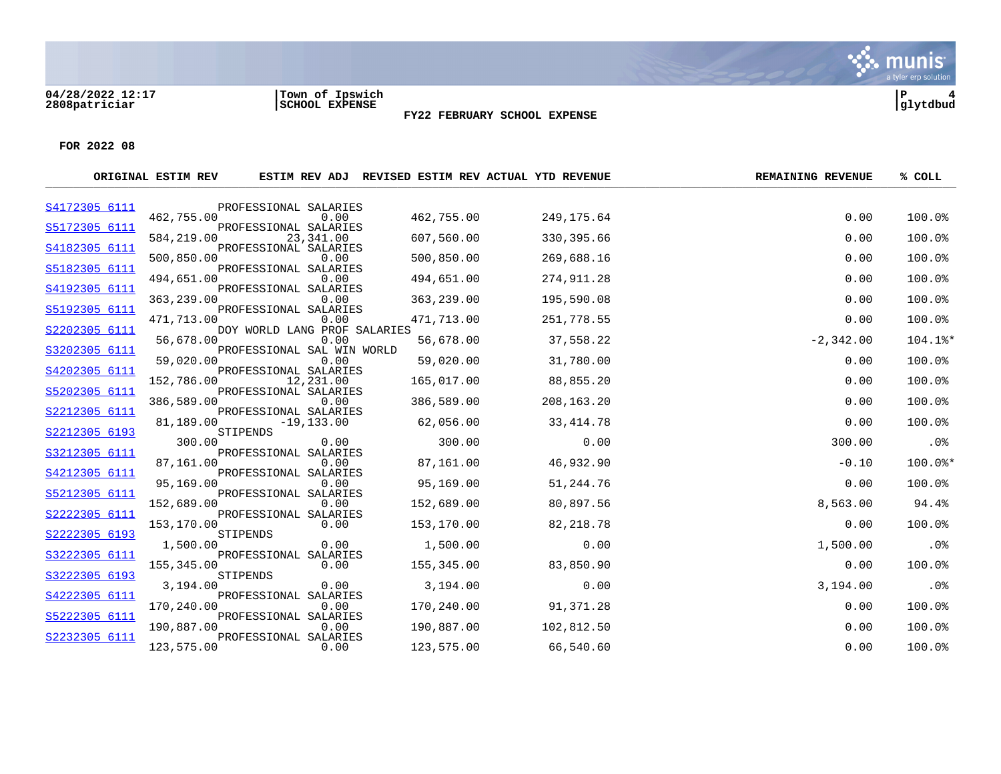**04/28/2022 12:17 |Town of Ipswich |P 4 2808patriciar |SCHOOL EXPENSE |glytdbud**

### **FY22 FEBRUARY SCHOOL EXPENSE**

|               | ORIGINAL ESTIM REV |                                    | ESTIM REV ADJ REVISED ESTIM REV ACTUAL YTD REVENUE |             | <b>REMAINING REVENUE</b> | % COLL  |
|---------------|--------------------|------------------------------------|----------------------------------------------------|-------------|--------------------------|---------|
| S4172305 6111 |                    | PROFESSIONAL SALARIES              |                                                    |             |                          |         |
| S5172305 6111 | 462,755.00         | 0.00<br>PROFESSIONAL SALARIES      | 462,755.00                                         | 249, 175.64 | 0.00                     | 100.0%  |
|               | 584,219.00         | 23,341.00                          | 607,560.00                                         | 330,395.66  | 0.00                     | 100.0%  |
| S4182305 6111 |                    | PROFESSIONAL SALARIES              |                                                    |             |                          |         |
| S5182305 6111 | 500,850.00         | 0.00<br>PROFESSIONAL SALARIES      | 500,850.00                                         | 269,688.16  | 0.00                     | 100.0%  |
|               | 494,651.00         | 0.00                               | 494,651.00                                         | 274,911.28  | 0.00                     | 100.0%  |
| S4192305 6111 |                    | PROFESSIONAL SALARIES              |                                                    |             |                          |         |
| S5192305 6111 | 363,239.00         | 0.00<br>PROFESSIONAL SALARIES      | 363,239.00                                         | 195,590.08  | 0.00                     | 100.0%  |
|               | 471,713.00         | 0.00                               | 471,713.00                                         | 251,778.55  | 0.00                     | 100.0%  |
| S2202305 6111 |                    | DOY WORLD LANG PROF SALARIES       |                                                    |             |                          |         |
| S3202305 6111 | 56,678.00          | 0.00<br>PROFESSIONAL SAL WIN WORLD | 56,678.00                                          | 37,558.22   | $-2,342.00$              | 104.1%* |
|               | 59,020.00          | 0.00                               | 59,020.00                                          | 31,780.00   | 0.00                     | 100.0%  |
| S4202305 6111 |                    | PROFESSIONAL SALARIES              |                                                    |             |                          |         |
| S5202305 6111 | 152,786.00         | 12,231.00<br>PROFESSIONAL SALARIES | 165,017.00                                         | 88,855.20   | 0.00                     | 100.0%  |
|               | 386,589.00         | 0.00                               | 386,589.00                                         | 208,163.20  | 0.00                     | 100.0%  |
| S2212305 6111 |                    | PROFESSIONAL SALARIES              |                                                    |             |                          |         |
| S2212305 6193 | 81,189.00          | $-19, 133.00$<br>STIPENDS          | 62,056.00                                          | 33, 414. 78 | 0.00                     | 100.0%  |
|               | 300.00             | 0.00                               | 300.00                                             | 0.00        | 300.00                   | .0%     |
| S3212305 6111 |                    | PROFESSIONAL SALARIES<br>0.00      |                                                    |             |                          | 100.0%* |
| S4212305 6111 | 87,161.00          | PROFESSIONAL SALARIES              | 87,161.00                                          | 46,932.90   | $-0.10$                  |         |
|               | 95,169.00          | 0.00                               | 95,169.00                                          | 51,244.76   | 0.00                     | 100.0%  |
| S5212305 6111 |                    | PROFESSIONAL SALARIES              |                                                    |             |                          |         |
| S2222305 6111 | 152,689.00         | 0.00<br>PROFESSIONAL SALARIES      | 152,689.00                                         | 80,897.56   | 8,563.00                 | 94.4%   |
|               | 153,170.00         | 0.00                               | 153,170.00                                         | 82,218.78   | 0.00                     | 100.0%  |
| S2222305 6193 |                    | STIPENDS<br>0.00                   |                                                    |             |                          | .0%     |
| S3222305 6111 | 1,500.00           | PROFESSIONAL SALARIES              | 1,500.00                                           | 0.00        | 1,500.00                 |         |
|               | 155,345.00         | 0.00                               | 155,345.00                                         | 83,850.90   | 0.00                     | 100.0%  |
| S3222305 6193 |                    | STIPENDS                           |                                                    |             |                          |         |
| S4222305 6111 | 3,194.00           | 0.00<br>PROFESSIONAL SALARIES      | 3,194.00                                           | 0.00        | 3,194.00                 | .0%     |
|               | 170,240.00         | 0.00                               | 170,240.00                                         | 91,371.28   | 0.00                     | 100.0%  |
| S5222305 6111 |                    | PROFESSIONAL SALARIES              |                                                    |             |                          |         |
| S2232305 6111 | 190,887.00         | 0.00<br>PROFESSIONAL SALARIES      | 190,887.00                                         | 102,812.50  | 0.00                     | 100.0%  |
|               | 123,575.00         | 0.00                               | 123,575.00                                         | 66,540.60   | 0.00                     | 100.0%  |
|               |                    |                                    |                                                    |             |                          |         |

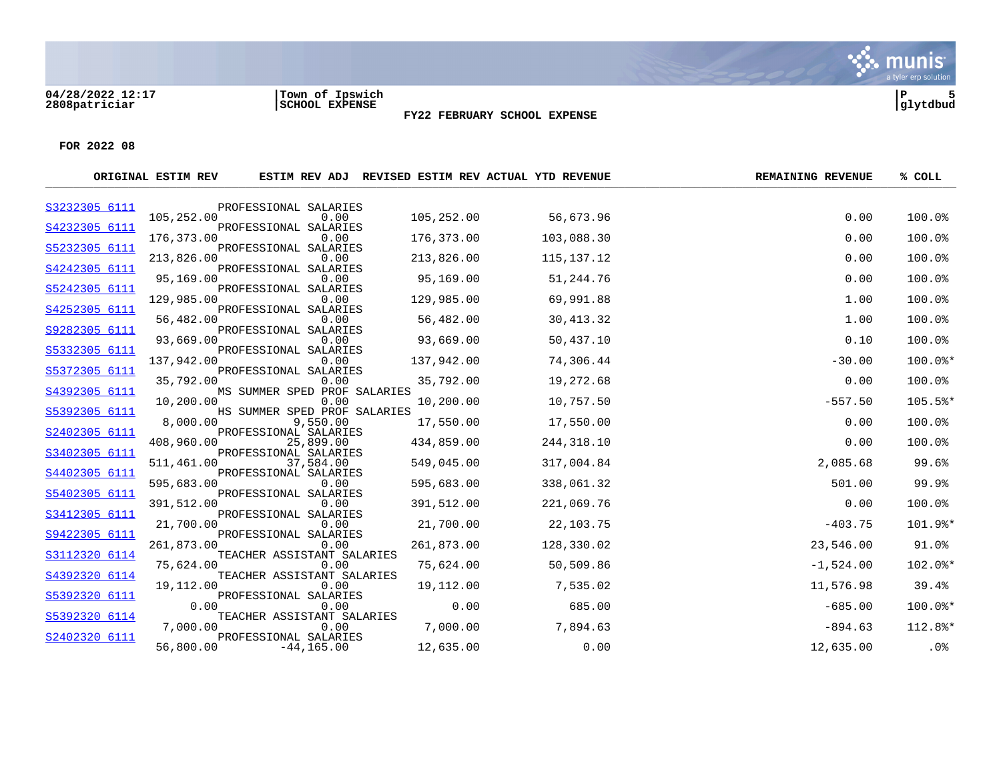**04/28/2022 12:17 |Town of Ipswich |P 5 2808patriciar |SCHOOL EXPENSE |glytdbud**



**FY22 FEBRUARY SCHOOL EXPENSE**

|               | ORIGINAL ESTIM REV |                                      |            | ESTIM REV ADJ REVISED ESTIM REV ACTUAL YTD REVENUE | <b>REMAINING REVENUE</b> | % COLL  |
|---------------|--------------------|--------------------------------------|------------|----------------------------------------------------|--------------------------|---------|
| S3232305 6111 |                    | PROFESSIONAL SALARIES                |            |                                                    |                          |         |
| S4232305 6111 | 105,252.00         | 0.00<br>PROFESSIONAL SALARIES        | 105,252.00 | 56,673.96                                          | 0.00                     | 100.0%  |
|               | 176,373.00         | 0.00                                 | 176,373.00 | 103,088.30                                         | 0.00                     | 100.0%  |
| S5232305 6111 |                    | PROFESSIONAL SALARIES                |            |                                                    |                          |         |
| S4242305 6111 | 213,826.00         | 0.00<br>PROFESSIONAL SALARIES        | 213,826.00 | 115, 137. 12                                       | 0.00                     | 100.0%  |
|               | 95,169.00          | 0.00                                 | 95,169.00  | 51,244.76                                          | 0.00                     | 100.0%  |
| S5242305 6111 | 129,985.00         | PROFESSIONAL SALARIES<br>0.00        | 129,985.00 | 69,991.88                                          | 1.00                     | 100.0%  |
| S4252305 6111 |                    | PROFESSIONAL SALARIES                |            |                                                    |                          |         |
|               | 56,482.00          | 0.00                                 | 56,482.00  | 30,413.32                                          | 1.00                     | 100.0%  |
| S9282305 6111 | 93,669.00          | PROFESSIONAL SALARIES<br>0.00        | 93,669.00  | 50,437.10                                          | 0.10                     | 100.0%  |
| S5332305 6111 |                    | PROFESSIONAL SALARIES                |            |                                                    |                          |         |
|               | 137,942.00         | 0.00                                 | 137,942.00 | 74,306.44                                          | $-30.00$                 | 100.0%* |
| S5372305 6111 | 35,792.00          | PROFESSIONAL SALARIES<br>0.00        | 35,792.00  | 19,272.68                                          | 0.00                     | 100.0%  |
| S4392305 6111 |                    | MS SUMMER SPED PROF SALARIES         |            |                                                    |                          |         |
| S5392305 6111 | 10,200.00          | 0.00<br>HS SUMMER SPED PROF SALARIES | 10,200.00  | 10,757.50                                          | $-557.50$                | 105.5%* |
|               | 8,000.00           | 9,550.00                             | 17,550.00  | 17,550.00                                          | 0.00                     | 100.0%  |
| S2402305 6111 |                    | PROFESSIONAL SALARIES                |            |                                                    |                          |         |
| S3402305 6111 | 408,960.00         | 25,899.00<br>PROFESSIONAL SALARIES   | 434,859.00 | 244,318.10                                         | 0.00                     | 100.0%  |
|               | 511,461.00         | 37,584.00                            | 549,045.00 | 317,004.84                                         | 2,085.68                 | 99.6%   |
| S4402305 6111 | 595,683.00         | PROFESSIONAL SALARIES<br>0.00        | 595,683.00 | 338,061.32                                         | 501.00                   | 99.9%   |
| S5402305 6111 |                    | PROFESSIONAL SALARIES                |            |                                                    |                          |         |
|               | 391,512.00         | 0.00                                 | 391,512.00 | 221,069.76                                         | 0.00                     | 100.0%  |
| S3412305 6111 | 21,700.00          | PROFESSIONAL SALARIES<br>0.00        | 21,700.00  | 22,103.75                                          | $-403.75$                | 101.9%* |
| S9422305 6111 |                    | PROFESSIONAL SALARIES                |            |                                                    |                          |         |
| S3112320 6114 | 261,873.00         | 0.00<br>TEACHER ASSISTANT SALARIES   | 261,873.00 | 128,330.02                                         | 23,546.00                | 91.0%   |
|               | 75,624.00          | 0.00                                 | 75,624.00  | 50,509.86                                          | $-1,524.00$              | 102.0%* |
| S4392320 6114 |                    | TEACHER ASSISTANT SALARIES           |            |                                                    |                          |         |
| S5392320 6111 | 19,112.00          | 0.00<br>PROFESSIONAL SALARIES        | 19,112.00  | 7,535.02                                           | 11,576.98                | 39.4%   |
|               | 0.00               | 0.00                                 | 0.00       | 685.00                                             | $-685.00$                | 100.0%* |
| S5392320 6114 |                    | TEACHER ASSISTANT SALARIES           |            |                                                    |                          |         |
| S2402320 6111 | 7,000.00           | 0.00<br>PROFESSIONAL SALARIES        | 7,000.00   | 7,894.63                                           | $-894.63$                | 112.8%* |
|               | 56,800.00          | $-44, 165.00$                        | 12,635.00  | 0.00                                               | 12,635.00                | $.0\%$  |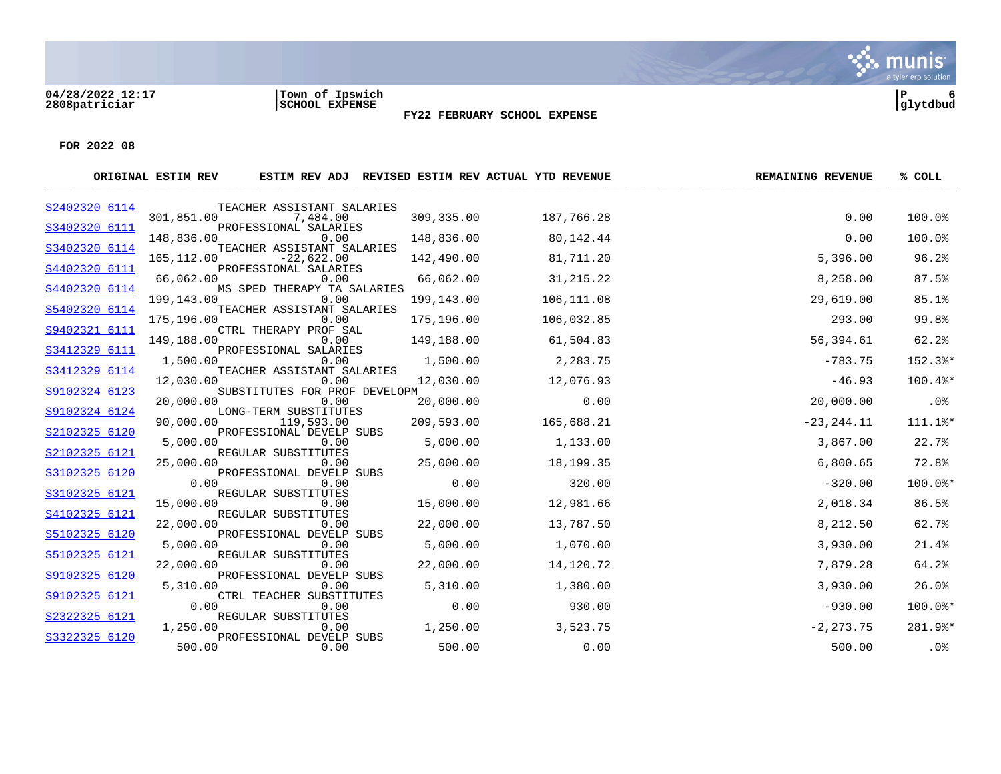#### **04/28/2022 12:17 |Town of Ipswich |P 6 2808patriciar |SCHOOL EXPENSE |glytdbud**



**FY22 FEBRUARY SCHOOL EXPENSE**

|               | ORIGINAL ESTIM REV |                                       |            | ESTIM REV ADJ REVISED ESTIM REV ACTUAL YTD REVENUE | <b>REMAINING REVENUE</b> | % COLL    |
|---------------|--------------------|---------------------------------------|------------|----------------------------------------------------|--------------------------|-----------|
| S2402320 6114 |                    | TEACHER ASSISTANT SALARIES            |            |                                                    |                          |           |
| S3402320 6111 | 301,851.00         | 7,484.00<br>PROFESSIONAL SALARIES     | 309,335.00 | 187,766.28                                         | 0.00                     | 100.0%    |
|               | 148,836.00         | 0.00                                  | 148,836.00 | 80,142.44                                          | 0.00                     | 100.0%    |
| S3402320 6114 |                    | TEACHER ASSISTANT SALARIES            |            |                                                    |                          |           |
| S4402320 6111 | 165, 112.00        | $-22,622.00$<br>PROFESSIONAL SALARIES | 142,490.00 | 81,711.20                                          | 5,396.00                 | 96.2%     |
|               | 66,062.00          | 0.00                                  | 66,062.00  | 31,215.22                                          | 8,258.00                 | 87.5%     |
| S4402320 6114 |                    | MS SPED THERAPY TA SALARIES           |            |                                                    |                          |           |
| S5402320 6114 | 199,143.00         | 0.00<br>TEACHER ASSISTANT SALARIES    | 199,143.00 | 106,111.08                                         | 29,619.00                | 85.1%     |
|               | 175,196.00         | 0.00                                  | 175,196.00 | 106,032.85                                         | 293.00                   | 99.8%     |
| S9402321 6111 | 149,188.00         | CTRL THERAPY PROF SAL<br>0.00         | 149,188.00 | 61,504.83                                          | 56,394.61                | 62.2%     |
| S3412329 6111 |                    | PROFESSIONAL SALARIES                 |            |                                                    |                          |           |
|               | 1,500.00           | 0.00                                  | 1,500.00   | 2,283.75                                           | $-783.75$                | 152.3%*   |
| S3412329 6114 | 12,030.00          | TEACHER ASSISTANT SALARIES<br>0.00    | 12,030.00  | 12,076.93                                          | $-46.93$                 | 100.4%*   |
| S9102324 6123 |                    | SUBSTITUTES FOR PROF DEVELOPM         |            |                                                    |                          |           |
|               | 20,000.00          | 0.00                                  | 20,000.00  | 0.00                                               | 20,000.00                | .0%       |
| S9102324 6124 | 90,000.00          | LONG-TERM SUBSTITUTES<br>119,593.00   | 209,593.00 | 165,688.21                                         | $-23, 244.11$            | 111.1%*   |
| S2102325 6120 |                    | PROFESSIONAL DEVELP SUBS              |            |                                                    |                          |           |
|               | 5,000.00           | 0.00                                  | 5,000.00   | 1,133.00                                           | 3,867.00                 | 22.7%     |
| S2102325 6121 | 25,000.00          | REGULAR SUBSTITUTES<br>0.00           | 25,000.00  | 18, 199. 35                                        | 6,800.65                 | 72.8%     |
| S3102325 6120 |                    | PROFESSIONAL DEVELP SUBS              |            |                                                    |                          |           |
|               | 0.00               | 0.00                                  | 0.00       | 320.00                                             | $-320.00$                | 100.0%*   |
| S3102325 6121 | 15,000.00          | REGULAR SUBSTITUTES<br>0.00           | 15,000.00  | 12,981.66                                          | 2,018.34                 | 86.5%     |
| S4102325 6121 |                    | REGULAR SUBSTITUTES                   |            |                                                    |                          |           |
| S5102325 6120 | 22,000.00          | 0.00<br>PROFESSIONAL DEVELP SUBS      | 22,000.00  | 13,787.50                                          | 8,212.50                 | 62.7%     |
|               | 5,000.00           | 0.00                                  | 5,000.00   | 1,070.00                                           | 3,930.00                 | 21.4%     |
| S5102325 6121 |                    | REGULAR SUBSTITUTES                   |            |                                                    |                          |           |
| S9102325 6120 | 22,000.00          | 0.00<br>PROFESSIONAL DEVELP SUBS      | 22,000.00  | 14,120.72                                          | 7,879.28                 | 64.2%     |
|               | 5,310.00           | 0.00                                  | 5,310.00   | 1,380.00                                           | 3,930.00                 | 26.0%     |
| S9102325 6121 |                    | CTRL TEACHER SUBSTITUTES              |            |                                                    |                          |           |
| S2322325 6121 | 0.00               | 0.00<br>REGULAR SUBSTITUTES           | 0.00       | 930.00                                             | $-930.00$                | $100.0$ * |
|               | 1,250.00           | 0.00                                  | 1,250.00   | 3,523.75                                           | $-2, 273.75$             | 281.9%*   |
| S3322325 6120 |                    | PROFESSIONAL DEVELP SUBS              |            |                                                    |                          |           |
|               | 500.00             | 0.00                                  | 500.00     | 0.00                                               | 500.00                   | .0%       |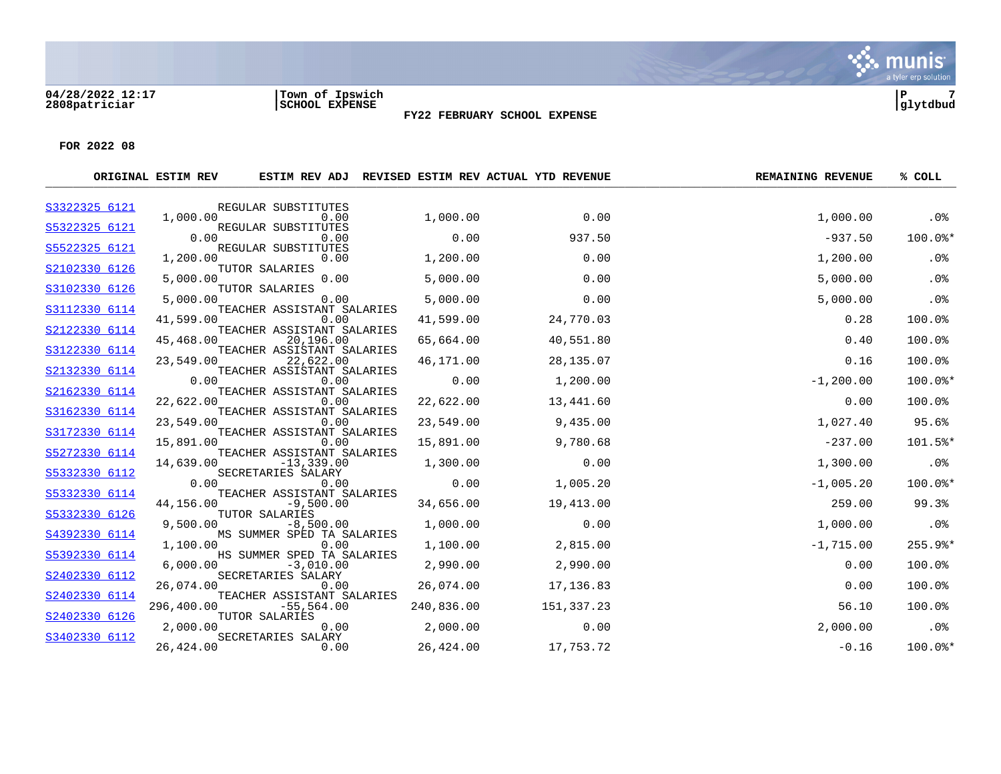#### **04/28/2022 12:17 |Town of Ipswich |P 7 2808patriciar |SCHOOL EXPENSE |glytdbud**



**FY22 FEBRUARY SCHOOL EXPENSE**

|               | ORIGINAL ESTIM REV |                                             |            | ESTIM REV ADJ REVISED ESTIM REV ACTUAL YTD REVENUE | <b>REMAINING REVENUE</b> | % COLL    |
|---------------|--------------------|---------------------------------------------|------------|----------------------------------------------------|--------------------------|-----------|
| S3322325 6121 |                    | REGULAR SUBSTITUTES                         |            |                                                    |                          |           |
| S5322325 6121 | 1,000.00           | 0.00<br>REGULAR SUBSTITUTES                 | 1,000.00   | 0.00                                               | 1,000.00                 | $.0\%$    |
|               | 0.00               | 0.00                                        | 0.00       | 937.50                                             | $-937.50$                | 100.0%*   |
| S5522325 6121 | 1,200.00           | REGULAR SUBSTITUTES<br>0.00                 | 1,200.00   | 0.00                                               | 1,200.00                 | .0%       |
| S2102330 6126 | 5,000.00           | TUTOR SALARIES<br>0.00                      | 5,000.00   | 0.00                                               | 5,000.00                 | .0%       |
| S3102330 6126 | 5,000.00           | TUTOR SALARIES<br>0.00                      | 5,000.00   | 0.00                                               | 5,000.00                 | .0%       |
| S3112330 6114 | 41,599.00          | TEACHER ASSISTANT SALARIES<br>0.00          | 41,599.00  | 24,770.03                                          | 0.28                     | 100.0%    |
| S2122330 6114 | 45,468.00          | TEACHER ASSISTANT SALARIES<br>20,196.00     | 65,664.00  | 40,551.80                                          | 0.40                     | 100.0%    |
| S3122330 6114 | 23,549.00          | TEACHER ASSISTANT SALARIES<br>22,622.00     | 46,171.00  | 28,135.07                                          | 0.16                     | 100.0%    |
| S2132330 6114 | 0.00               | TEACHER ASSISTANT SALARIES<br>0.00          | 0.00       | 1,200.00                                           | $-1, 200.00$             | 100.0%*   |
| S2162330 6114 | 22,622.00          | TEACHER ASSISTANT SALARIES<br>0.00          | 22,622.00  | 13,441.60                                          | 0.00                     | 100.0%    |
| S3162330 6114 | 23,549.00          | TEACHER ASSISTANT SALARIES<br>0.00          | 23,549.00  | 9,435.00                                           | 1,027.40                 | 95.6%     |
| S3172330 6114 | 15,891.00          | TEACHER ASSISTANT SALARIES<br>0.00          | 15,891.00  | 9,780.68                                           | $-237.00$                | 101.5%*   |
| S5272330 6114 | 14,639.00          | TEACHER ASSISTANT SALARIES<br>$-13, 339.00$ | 1,300.00   | 0.00                                               | 1,300.00                 | .0%       |
| S5332330 6112 | 0.00               | SECRETARIES SALARY<br>0.00                  | 0.00       | 1,005.20                                           | $-1,005.20$              | 100.0%*   |
| S5332330 6114 | 44,156.00          | TEACHER ASSISTANT SALARIES<br>$-9,500.00$   | 34,656.00  | 19,413.00                                          | 259.00                   | 99.3%     |
| S5332330 6126 | 9,500.00           | TUTOR SALARIES<br>$-8,500.00$               | 1,000.00   | 0.00                                               | 1,000.00                 | .0%       |
| S4392330 6114 | 1,100.00           | MS SUMMER SPED TA SALARIES<br>0.00          | 1,100.00   | 2,815.00                                           | $-1,715.00$              | $255.9$ * |
| S5392330 6114 | 6,000.00           | HS SUMMER SPED TA SALARIES<br>$-3,010.00$   | 2,990.00   | 2,990.00                                           | 0.00                     | 100.0%    |
| S2402330 6112 | 26,074.00          | SECRETARIES SALARY<br>0.00                  | 26,074.00  | 17,136.83                                          | 0.00                     | 100.0%    |
| S2402330 6114 | 296,400.00         | TEACHER ASSISTANT SALARIES<br>$-55,564.00$  | 240,836.00 | 151,337.23                                         | 56.10                    | 100.0%    |
| S2402330 6126 | 2,000.00           | TUTOR SALARIES<br>0.00                      | 2,000.00   | 0.00                                               | 2,000.00                 | $.0\%$    |
| S3402330 6112 | 26,424.00          | SECRETARIES SALARY<br>0.00                  | 26,424.00  | 17,753.72                                          | $-0.16$                  | 100.0%*   |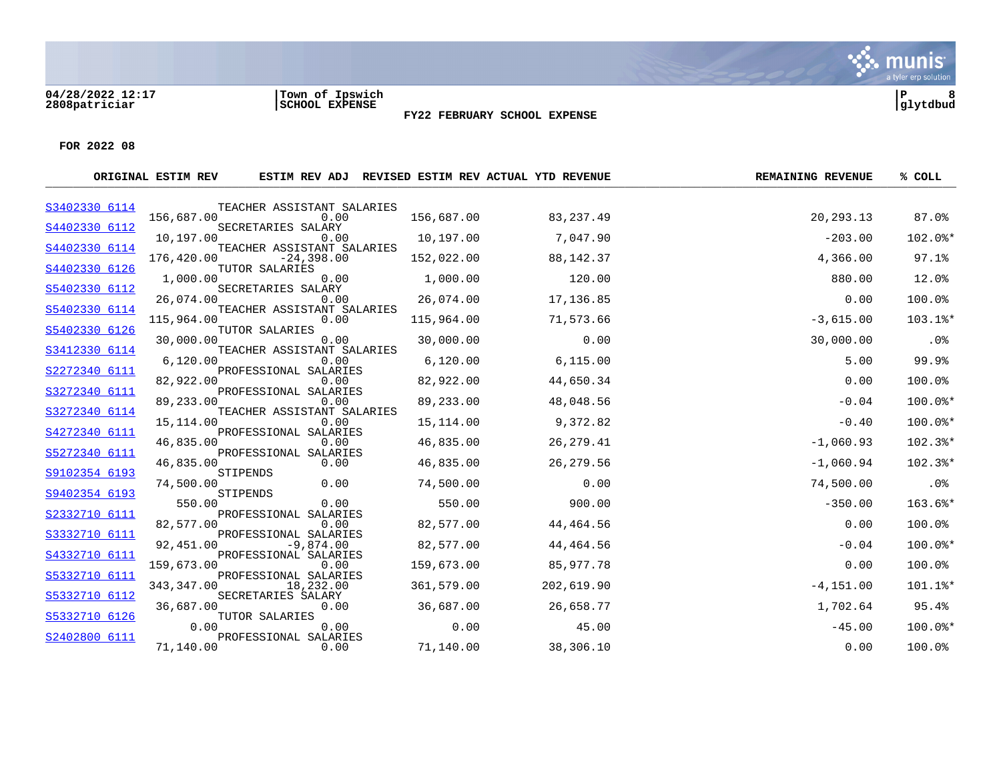**04/28/2022 12:17 |Town of Ipswich |P 8 2808patriciar |SCHOOL EXPENSE |glytdbud**



**FY22 FEBRUARY SCHOOL EXPENSE**

|               | ORIGINAL ESTIM REV |                                            |            | ESTIM REV ADJ REVISED ESTIM REV ACTUAL YTD REVENUE | <b>REMAINING REVENUE</b> | % COLL    |
|---------------|--------------------|--------------------------------------------|------------|----------------------------------------------------|--------------------------|-----------|
| S3402330 6114 |                    | TEACHER ASSISTANT SALARIES                 |            |                                                    |                          |           |
| S4402330 6112 | 156,687.00         | 0.00<br>SECRETARIES SALARY                 | 156,687.00 | 83, 237.49                                         | 20,293.13                | 87.0%     |
|               | 10,197.00          | 0.00                                       | 10,197.00  | 7,047.90                                           | $-203.00$                | 102.0%*   |
| S4402330 6114 | 176,420.00         | TEACHER ASSISTANT SALARIES<br>$-24,398.00$ | 152,022.00 | 88,142.37                                          | 4,366.00                 | 97.1%     |
| S4402330 6126 |                    | TUTOR SALARIES                             |            |                                                    |                          |           |
| S5402330 6112 | 1,000.00           | 0.00<br>SECRETARIES SALARY                 | 1,000.00   | 120.00                                             | 880.00                   | 12.0%     |
|               | 26,074.00          | 0.00                                       | 26,074.00  | 17,136.85                                          | 0.00                     | 100.0%    |
| S5402330 6114 | 115,964.00         | TEACHER ASSISTANT SALARIES<br>0.00         | 115,964.00 | 71,573.66                                          | $-3,615.00$              | 103.1%*   |
| S5402330 6126 |                    | TUTOR SALARIES                             |            |                                                    |                          |           |
| S3412330 6114 | 30,000.00          | 0.00<br>TEACHER ASSISTANT SALARIES         | 30,000.00  | 0.00                                               | 30,000.00                | .0%       |
|               | 6,120.00           | 0.00                                       | 6,120.00   | 6, 115.00                                          | 5.00                     | 99.9%     |
| S2272340 6111 | 82,922.00          | PROFESSIONAL SALARIES<br>0.00              | 82,922.00  | 44,650.34                                          | 0.00                     | 100.0%    |
| S3272340 6111 |                    | PROFESSIONAL SALARIES                      |            |                                                    |                          |           |
|               | 89,233.00          | 0.00                                       | 89,233.00  | 48,048.56                                          | $-0.04$                  | $100.0$ * |
| S3272340 6114 | 15,114.00          | TEACHER ASSISTANT SALARIES<br>0.00         | 15,114.00  | 9,372.82                                           | $-0.40$                  | 100.0%*   |
| S4272340 6111 | 46,835.00          | PROFESSIONAL SALARIES<br>0.00              | 46,835.00  | 26, 279.41                                         | $-1,060.93$              | 102.3%*   |
| S5272340 6111 |                    | PROFESSIONAL SALARIES                      |            |                                                    |                          |           |
|               | 46,835.00          | 0.00                                       | 46,835.00  | 26,279.56                                          | $-1,060.94$              | 102.3%*   |
| S9102354 6193 | 74,500.00          | STIPENDS<br>0.00                           | 74,500.00  | 0.00                                               | 74,500.00                | .0%       |
| S9402354 6193 |                    | STIPENDS                                   |            |                                                    |                          |           |
| S2332710 6111 | 550.00             | 0.00<br>PROFESSIONAL SALARIES              | 550.00     | 900.00                                             | $-350.00$                | 163.6%*   |
|               | 82,577.00          | 0.00                                       | 82,577.00  | 44,464.56                                          | 0.00                     | 100.0%    |
| S3332710 6111 | 92,451.00          | PROFESSIONAL SALARIES<br>$-9,874.00$       | 82,577.00  | 44,464.56                                          | $-0.04$                  | $100.0$ * |
| S4332710 6111 |                    | PROFESSIONAL SALARIES                      |            |                                                    |                          |           |
| S5332710 6111 | 159,673.00         | 0.00<br>PROFESSIONAL SALARIES              | 159,673.00 | 85,977.78                                          | 0.00                     | 100.0%    |
|               | 343,347.00         | 18,232.00                                  | 361,579.00 | 202,619.90                                         | $-4, 151.00$             | 101.1%*   |
| S5332710 6112 | 36,687.00          | SECRETARIES SALARY<br>0.00                 | 36,687.00  | 26,658.77                                          | 1,702.64                 | 95.4%     |
| S5332710 6126 |                    | TUTOR SALARIES                             |            |                                                    |                          |           |
| S2402800 6111 | 0.00               | 0.00<br>PROFESSIONAL SALARIES              | 0.00       | 45.00                                              | $-45.00$                 | 100.0%*   |
|               | 71,140.00          | 0.00                                       | 71,140.00  | 38,306.10                                          | 0.00                     | 100.0%    |
|               |                    |                                            |            |                                                    |                          |           |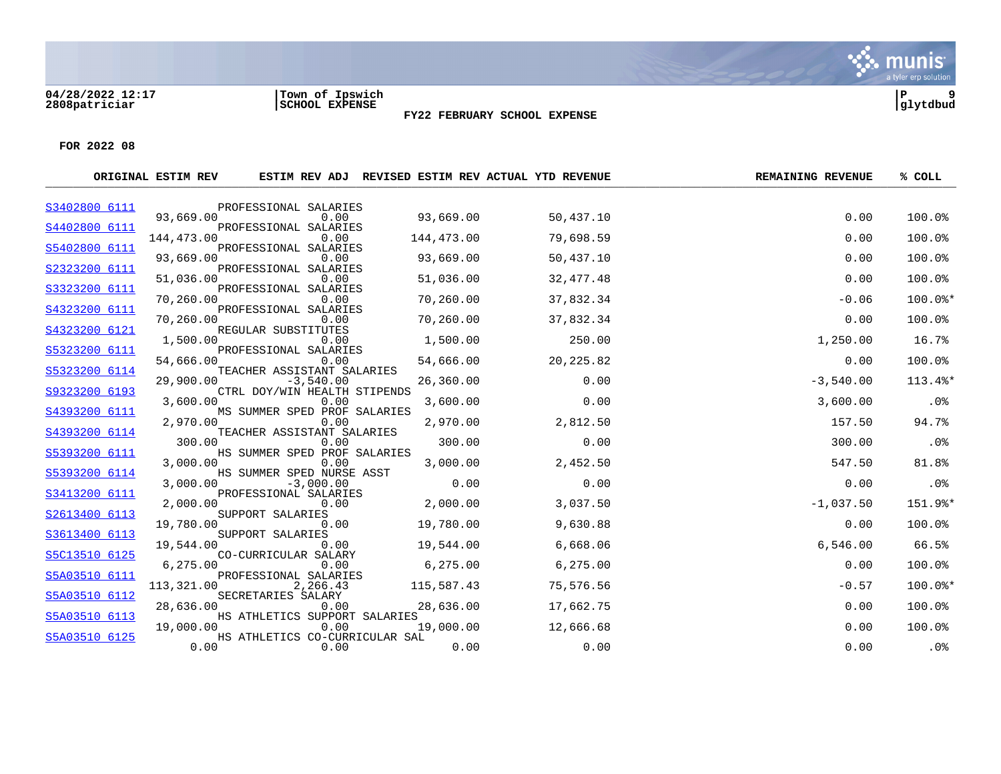**04/28/2022 12:17 |Town of Ipswich |P 9 2808patriciar |SCHOOL EXPENSE |glytdbud**

a tyler erp solution

S. munis

|               | ORIGINAL ESTIM REV |                                           |            | ESTIM REV ADJ REVISED ESTIM REV ACTUAL YTD REVENUE | <b>REMAINING REVENUE</b> | % COLL  |
|---------------|--------------------|-------------------------------------------|------------|----------------------------------------------------|--------------------------|---------|
| S3402800 6111 |                    | PROFESSIONAL SALARIES                     |            |                                                    |                          |         |
| S4402800 6111 | 93,669.00          | 0.00<br>PROFESSIONAL SALARIES             | 93,669.00  | 50,437.10                                          | 0.00                     | 100.0%  |
|               | 144,473.00         | 0.00                                      | 144,473.00 | 79,698.59                                          | 0.00                     | 100.0%  |
| S5402800 6111 | 93,669.00          | PROFESSIONAL SALARIES<br>0.00             | 93,669.00  | 50,437.10                                          | 0.00                     | 100.0%  |
| S2323200 6111 |                    | PROFESSIONAL SALARIES                     |            |                                                    |                          |         |
| S3323200 6111 | 51,036.00          | 0.00<br>PROFESSIONAL SALARIES             | 51,036.00  | 32,477.48                                          | 0.00                     | 100.0%  |
|               | 70,260.00          | 0.00                                      | 70,260.00  | 37,832.34                                          | $-0.06$                  | 100.0%* |
| S4323200 6111 | 70,260.00          | PROFESSIONAL SALARIES<br>0.00             | 70,260.00  | 37,832.34                                          | 0.00                     | 100.0%  |
| S4323200 6121 |                    | REGULAR SUBSTITUTES                       |            |                                                    |                          |         |
| S5323200 6111 | 1,500.00           | 0.00<br>PROFESSIONAL SALARIES             | 1,500.00   | 250.00                                             | 1,250.00                 | 16.7%   |
|               | 54,666.00          | 0.00                                      | 54,666.00  | 20, 225.82                                         | 0.00                     | 100.0%  |
| S5323200 6114 | 29,900.00          | TEACHER ASSISTANT SALARIES<br>$-3,540.00$ | 26,360.00  | 0.00                                               | $-3,540.00$              | 113.4%* |
| S9323200 6193 |                    | CTRL DOY/WIN HEALTH STIPENDS              |            |                                                    |                          |         |
| S4393200 6111 | 3,600.00           | 0.00<br>MS SUMMER SPED PROF SALARIES      | 3,600.00   | 0.00                                               | 3,600.00                 | $.0\%$  |
|               | 2,970.00           | 0.00                                      | 2,970.00   | 2,812.50                                           | 157.50                   | 94.7%   |
| S4393200 6114 | 300.00             | TEACHER ASSISTANT SALARIES<br>0.00        | 300.00     | 0.00                                               | 300.00                   | .0%     |
| S5393200 6111 | 3,000.00           | HS SUMMER SPED PROF SALARIES<br>0.00      | 3,000.00   | 2,452.50                                           | 547.50                   | 81.8%   |
| S5393200 6114 |                    | HS SUMMER SPED NURSE ASST                 |            |                                                    |                          |         |
|               | 3,000.00           | $-3,000.00$                               | 0.00       | 0.00                                               | 0.00                     | $.0\%$  |
| S3413200 6111 | 2,000.00           | PROFESSIONAL SALARIES<br>0.00             | 2,000.00   | 3,037.50                                           | $-1,037.50$              | 151.9%* |
| S2613400 6113 | 19,780.00          | SUPPORT SALARIES<br>0.00                  | 19,780.00  | 9,630.88                                           | 0.00                     | 100.0%  |
| S3613400 6113 |                    | SUPPORT SALARIES                          |            |                                                    |                          |         |
| S5C13510 6125 | 19,544.00          | 0.00<br>CO-CURRICULAR SALARY              | 19,544.00  | 6,668.06                                           | 6,546.00                 | 66.5%   |
|               | 6,275.00           | 0.00                                      | 6.275.00   | 6,275.00                                           | 0.00                     | 100.0%  |
| S5A03510 6111 | 113,321.00         | PROFESSIONAL SALARIES<br>2,266.43         | 115,587.43 | 75,576.56                                          | $-0.57$                  | 100.0%* |
| S5A03510 6112 |                    | SECRETARIES SALARY                        |            |                                                    |                          |         |
| S5A03510 6113 | 28,636.00          | 0.00<br>HS ATHLETICS SUPPORT SALARIES     | 28,636.00  | 17,662.75                                          | 0.00                     | 100.0%  |
|               | 19,000.00          | 0.00                                      | 19,000.00  | 12,666.68                                          | 0.00                     | 100.0%  |
| S5A03510 6125 | 0.00               | HS ATHLETICS CO-CURRICULAR SAL<br>0.00    | 0.00       | 0.00                                               | 0.00                     | .0%     |
|               |                    |                                           |            |                                                    |                          |         |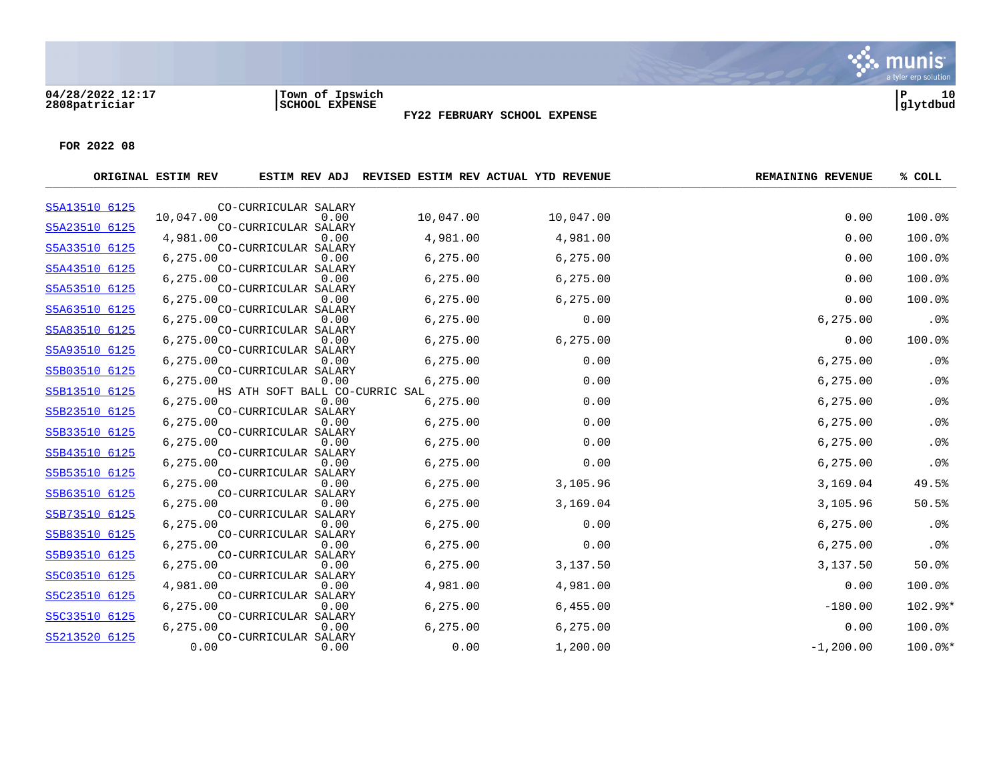#### **04/28/2022 12:17 |Town of Ipswich |P 10 2808patriciar |SCHOOL EXPENSE |glytdbud**



**FY22 FEBRUARY SCHOOL EXPENSE**

|               | ORIGINAL ESTIM REV |                                |           | ESTIM REV ADJ REVISED ESTIM REV ACTUAL YTD REVENUE | <b>REMAINING REVENUE</b> | % COLL    |
|---------------|--------------------|--------------------------------|-----------|----------------------------------------------------|--------------------------|-----------|
| S5A13510 6125 |                    | CO-CURRICULAR SALARY           |           |                                                    |                          |           |
| S5A23510 6125 | 10,047.00          | 0.00<br>CO-CURRICULAR SALARY   | 10,047.00 | 10,047.00                                          | 0.00                     | 100.0%    |
|               | 4,981.00           | 0.00                           | 4,981.00  | 4,981.00                                           | 0.00                     | 100.0%    |
| S5A33510 6125 | 6,275.00           | CO-CURRICULAR SALARY<br>0.00   | 6, 275.00 | 6,275.00                                           | 0.00                     | 100.0%    |
| S5A43510 6125 |                    | CO-CURRICULAR SALARY           |           |                                                    |                          |           |
| S5A53510 6125 | 6,275.00           | 0.00<br>CO-CURRICULAR SALARY   | 6,275.00  | 6,275.00                                           | 0.00                     | 100.0%    |
|               | 6,275.00           | 0.00                           | 6, 275.00 | 6,275.00                                           | 0.00                     | 100.0%    |
| S5A63510 6125 | 6,275.00           | CO-CURRICULAR SALARY<br>0.00   | 6,275.00  | 0.00                                               | 6,275.00                 | .0%       |
| S5A83510 6125 |                    | CO-CURRICULAR SALARY           |           |                                                    |                          |           |
| S5A93510 6125 | 6,275.00           | 0.00<br>CO-CURRICULAR SALARY   | 6, 275.00 | 6,275.00                                           | 0.00                     | 100.0%    |
|               | 6,275.00           | 0.00                           | 6,275.00  | 0.00                                               | 6,275.00                 | .0%       |
| S5B03510 6125 | 6,275.00           | CO-CURRICULAR SALARY<br>0.00   | 6,275.00  | 0.00                                               | 6,275.00                 | .0%       |
| S5B13510 6125 |                    | HS ATH SOFT BALL CO-CURRIC SAL |           |                                                    |                          |           |
| S5B23510 6125 | 6,275.00           | 0.00<br>CO-CURRICULAR SALARY   | 6,275.00  | 0.00                                               | 6,275.00                 | .0%       |
|               | 6,275.00           | 0.00                           | 6,275.00  | 0.00                                               | 6,275.00                 | .0%       |
| S5B33510 6125 | 6,275.00           | CO-CURRICULAR SALARY<br>0.00   | 6, 275.00 | 0.00                                               | 6,275.00                 | .0%       |
| S5B43510 6125 |                    | CO-CURRICULAR SALARY           |           |                                                    |                          |           |
| S5B53510 6125 | 6,275.00           | 0.00                           | 6,275.00  | 0.00                                               | 6,275.00                 | .0%       |
|               | 6,275.00           | CO-CURRICULAR SALARY<br>0.00   | 6,275.00  | 3,105.96                                           | 3,169.04                 | 49.5%     |
| S5B63510 6125 | 6,275.00           | CO-CURRICULAR SALARY<br>0.00   |           |                                                    |                          | 50.5%     |
| S5B73510 6125 |                    | CO-CURRICULAR SALARY           | 6, 275.00 | 3,169.04                                           | 3,105.96                 |           |
|               | 6,275.00           | 0.00                           | 6,275.00  | 0.00                                               | 6, 275.00                | .0%       |
| S5B83510 6125 | 6,275.00           | CO-CURRICULAR SALARY<br>0.00   | 6,275.00  | 0.00                                               | 6,275.00                 | .0%       |
| S5B93510 6125 |                    | CO-CURRICULAR SALARY           |           |                                                    |                          |           |
| S5C03510 6125 | 6,275.00           | 0.00<br>CO-CURRICULAR SALARY   | 6,275.00  | 3,137.50                                           | 3,137.50                 | 50.0%     |
|               | 4,981.00           | 0.00                           | 4,981.00  | 4,981.00                                           | 0.00                     | 100.0%    |
| S5C23510 6125 | 6,275.00           | CO-CURRICULAR SALARY<br>0.00   | 6, 275.00 | 6,455.00                                           | $-180.00$                | 102.9%*   |
| S5C33510 6125 |                    | CO-CURRICULAR SALARY           |           |                                                    |                          |           |
| S5213520 6125 | 6,275.00           | 0.00<br>CO-CURRICULAR SALARY   | 6,275.00  | 6,275.00                                           | 0.00                     | 100.0%    |
|               | 0.00               | 0.00                           | 0.00      | 1,200.00                                           | $-1, 200.00$             | $100.0$ * |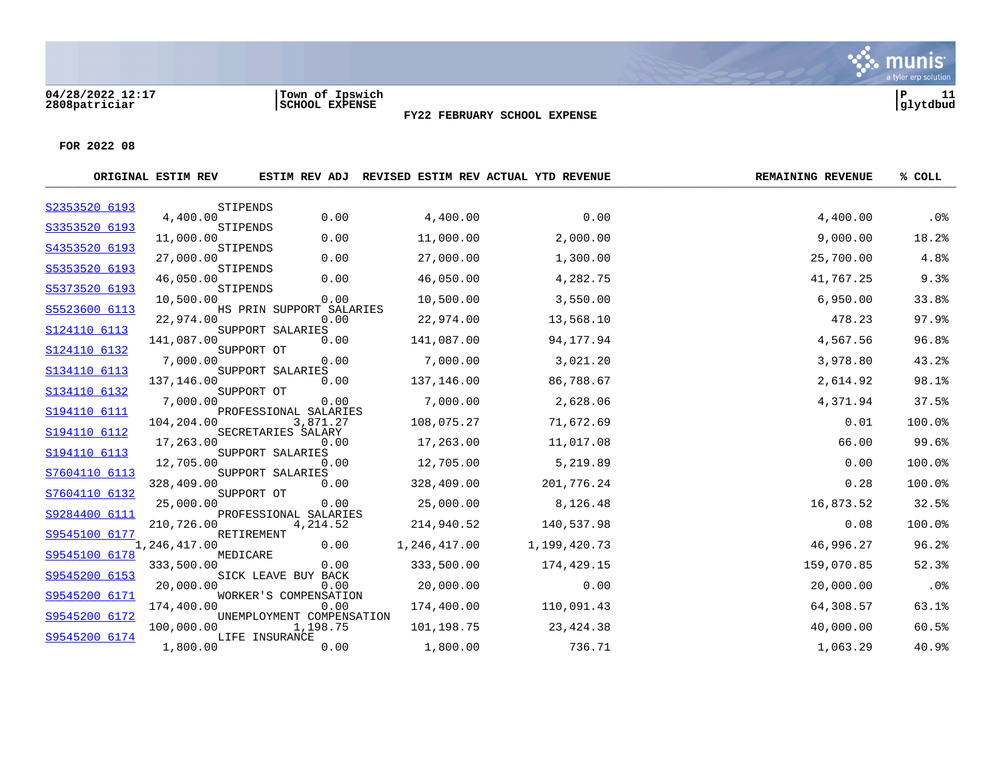#### **04/28/2022 12:17 |Town of Ipswich |P 11 2808patriciar |SCHOOL EXPENSE |glytdbud**



Sive munis

**FY22 FEBRUARY SCHOOL EXPENSE**

|               | ORIGINAL ESTIM REV | ESTIM REV ADJ                         |              | REVISED ESTIM REV ACTUAL YTD REVENUE | <b>REMAINING REVENUE</b> | % COLL |
|---------------|--------------------|---------------------------------------|--------------|--------------------------------------|--------------------------|--------|
| S2353520 6193 |                    | STIPENDS                              |              |                                      |                          |        |
| S3353520 6193 | 4,400.00           | 0.00<br>STIPENDS                      | 4,400.00     | 0.00                                 | 4,400.00                 | $.0\%$ |
|               | 11,000.00          | 0.00                                  | 11,000.00    | 2,000.00                             | 9,000.00                 | 18.2%  |
| S4353520 6193 | 27,000.00          | STIPENDS<br>0.00                      | 27,000.00    | 1,300.00                             | 25,700.00                | 4.8%   |
| S5353520 6193 | 46,050.00          | STIPENDS<br>0.00                      | 46,050.00    | 4,282.75                             | 41,767.25                | 9.3%   |
| S5373520 6193 | 10,500.00          | STIPENDS<br>0.00                      | 10,500.00    | 3,550.00                             | 6,950.00                 | 33.8%  |
| S5523600 6113 | 22,974.00          | HS PRIN SUPPORT SALARIES<br>0.00      | 22,974.00    | 13,568.10                            | 478.23                   | 97.9%  |
| S124110 6113  | 141,087.00         | SUPPORT SALARIES<br>0.00              | 141,087.00   | 94,177.94                            | 4,567.56                 | 96.8%  |
| S124110 6132  | 7,000.00           | SUPPORT OT<br>0.00                    | 7,000.00     | 3,021.20                             | 3,978.80                 | 43.2%  |
| S134110 6113  | 137,146.00         | SUPPORT SALARIES<br>0.00              | 137,146.00   | 86,788.67                            | 2,614.92                 | 98.1%  |
| S134110 6132  | 7,000.00           | SUPPORT OT<br>0.00                    | 7,000.00     | 2,628.06                             | 4,371.94                 | 37.5%  |
| S194110 6111  | 104,204.00         | PROFESSIONAL SALARIES<br>3,871.27     | 108,075.27   | 71,672.69                            | 0.01                     | 100.0% |
| S194110 6112  | 17,263.00          | SECRETARIES SALARY<br>0.00            | 17,263.00    | 11,017.08                            | 66.00                    | 99.6%  |
| S194110 6113  | 12,705.00          | SUPPORT SALARIES<br>0.00              | 12,705.00    | 5,219.89                             | 0.00                     | 100.0% |
| S7604110 6113 | 328,409.00         | SUPPORT SALARIES<br>0.00              | 328,409.00   | 201,776.24                           | 0.28                     | 100.0% |
| S7604110 6132 | 25,000.00          | SUPPORT OT<br>0.00                    | 25,000.00    | 8,126.48                             | 16,873.52                | 32.5%  |
| S9284400 6111 | 210,726.00         | PROFESSIONAL SALARIES<br>4,214.52     | 214,940.52   | 140,537.98                           | 0.08                     | 100.0% |
| S9545100 6177 | 1,246,417.00       | RETIREMENT<br>0.00                    | 1,246,417.00 | 1,199,420.73                         | 46,996.27                | 96.2%  |
| S9545100 6178 | 333,500.00         | MEDICARE<br>0.00                      | 333,500.00   | 174,429.15                           | 159,070.85               | 52.3%  |
| S9545200 6153 | 20,000.00          | SICK LEAVE BUY BACK<br>0.00           | 20,000.00    | 0.00                                 | 20,000.00                | .0%    |
| S9545200 6171 | 174,400.00         | WORKER'S COMPENSATION<br>0.00         | 174,400.00   | 110,091.43                           | 64,308.57                | 63.1%  |
| S9545200 6172 | 100,000.00         | UNEMPLOYMENT COMPENSATION<br>1,198.75 | 101,198.75   | 23, 424.38                           | 40,000.00                | 60.5%  |
| S9545200 6174 | 1,800.00           | LIFE INSURANCE<br>0.00                | 1,800.00     | 736.71                               | 1,063.29                 | 40.9%  |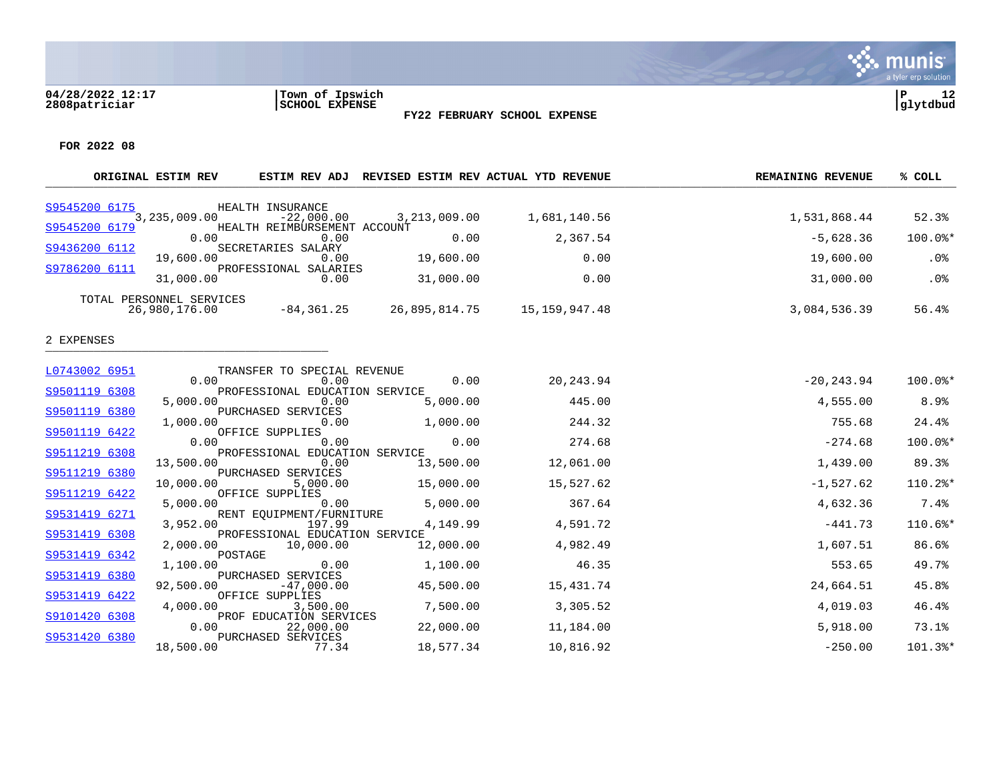#### **04/28/2022 12:17 |Town of Ipswich |P 12 2808patriciar |SCHOOL EXPENSE |glytdbud**

**FY22 FEBRUARY SCHOOL EXPENSE**



Sive munis

|                                | ORIGINAL ESTIM REV                        |                                                            | ESTIM REV ADJ REVISED ESTIM REV ACTUAL YTD REVENUE |                               | <b>REMAINING REVENUE</b> | % COLL  |
|--------------------------------|-------------------------------------------|------------------------------------------------------------|----------------------------------------------------|-------------------------------|--------------------------|---------|
| S9545200 6175                  | 3,235,009.00                              | HEALTH INSURANCE<br>$-22,000.00$                           |                                                    | 3, 213, 009.00 1, 681, 140.56 | 1,531,868.44             | 52.3%   |
| S9545200 6179                  | 0.00                                      | HEALTH REIMBURSEMENT ACCOUNT<br>0.00                       | 0.00                                               | 2,367.54                      | $-5,628.36$              | 100.0%* |
| S9436200 6112                  | 19,600.00                                 | SECRETARIES SALARY<br>0.00                                 | 19,600.00                                          | 0.00                          | 19,600.00                | .0%     |
| S9786200 6111                  | 31,000.00                                 | PROFESSIONAL SALARIES<br>0.00                              | 31,000.00                                          | 0.00                          | 31,000.00                | .0%     |
|                                | TOTAL PERSONNEL SERVICES<br>26,980,176.00 |                                                            | $-84,361.25$ 26,895,814.75 15,159,947.48           |                               | 3,084,536.39             | 56.4%   |
| 2 EXPENSES                     |                                           |                                                            |                                                    |                               |                          |         |
| L0743002 6951                  | 0.00                                      | TRANSFER TO SPECIAL REVENUE<br>0.00                        | 0.00                                               | 20,243.94                     | $-20, 243.94$            | 100.0%* |
| S9501119 6308                  | 5,000.00                                  | PROFESSIONAL EDUCATION SERVICE<br>0.00                     | 5,000.00                                           | 445.00                        | 4,555.00                 | 8.9%    |
| S9501119 6380                  | 1,000.00                                  | PURCHASED SERVICES<br>0.00                                 | 1,000.00                                           | 244.32                        | 755.68                   | 24.4%   |
| S9501119 6422                  | 0.00                                      | OFFICE SUPPLIES<br>0.00                                    | 0.00                                               | 274.68                        | $-274.68$                | 100.0%* |
| S9511219 6308                  | 13,500.00                                 | PROFESSIONAL EDUCATION SERVICE<br>0.00                     | 13,500.00                                          | 12,061.00                     | 1,439.00                 | 89.3%   |
| S9511219 6380                  | 10,000.00                                 | PURCHASED SERVICES<br>5,000.00                             | 15,000.00                                          | 15,527.62                     | $-1,527.62$              | 110.2%* |
| S9511219 6422                  | 5.000.00                                  | OFFICE SUPPLIES<br>0.00                                    | 5,000.00                                           | 367.64                        | 4,632.36                 | 7.4%    |
| S9531419 6271                  | 3,952.00                                  | RENT EQUIPMENT/FURNITURE<br>197.99                         | 4,149.99                                           | 4,591.72                      | $-441.73$                | 110.6%* |
| S9531419 6308                  | 2,000.00                                  | PROFESSIONAL EDUCATION SERVICE<br>10,000.00                | 12,000.00                                          | 4,982.49                      | 1,607.51                 | 86.6%   |
| S9531419 6342                  | POSTAGE<br>1,100.00                       | 0.00                                                       | 1,100.00                                           | 46.35                         | 553.65                   | 49.7%   |
| S9531419 6380                  | 92,500.00                                 | PURCHASED SERVICES<br>$-47,000.00$                         | 45,500.00                                          | 15,431.74                     | 24,664.51                | 45.8%   |
| S9531419 6422                  | 4,000.00                                  | OFFICE SUPPLIES<br>3,500.00                                | 7,500.00                                           | 3,305.52                      | 4,019.03                 | 46.4%   |
| S9101420 6308<br>S9531420 6380 | 0.00                                      | PROF EDUCATION SERVICES<br>22,000.00<br>PURCHASED SERVICES | 22,000.00                                          | 11,184.00                     | 5,918.00                 | 73.1%   |
|                                | 18,500.00                                 | 77.34                                                      | 18,577.34                                          | 10,816.92                     | $-250.00$                | 101.3%* |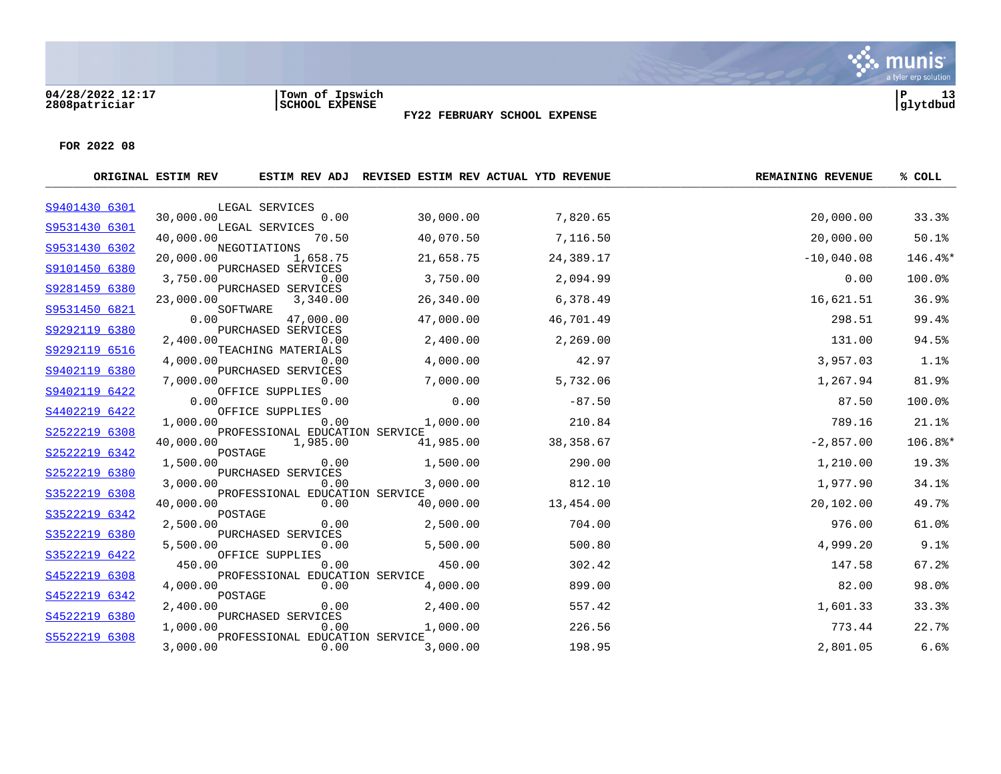#### **04/28/2022 12:17 |Town of Ipswich |P 13 2808patriciar |SCHOOL EXPENSE |glytdbud**



**FY22 FEBRUARY SCHOOL EXPENSE**

|               | ORIGINAL ESTIM REV |                                        |           | ESTIM REV ADJ REVISED ESTIM REV ACTUAL YTD REVENUE | <b>REMAINING REVENUE</b> | % COLL  |
|---------------|--------------------|----------------------------------------|-----------|----------------------------------------------------|--------------------------|---------|
| S9401430 6301 |                    | LEGAL SERVICES                         |           |                                                    |                          |         |
| S9531430 6301 | 30,000.00          | 0.00                                   | 30,000.00 | 7,820.65                                           | 20,000.00                | 33.3%   |
|               | 40,000.00          | LEGAL SERVICES<br>70.50                | 40,070.50 | 7,116.50                                           | 20,000.00                | 50.1%   |
| S9531430 6302 | 20,000.00          | NEGOTIATIONS<br>1,658.75               | 21,658.75 | 24,389.17                                          | $-10,040.08$             | 146.4%* |
| S9101450 6380 | 3,750.00           | PURCHASED SERVICES<br>0.00             | 3,750.00  | 2,094.99                                           | 0.00                     | 100.0%  |
| S9281459 6380 | 23,000.00          | PURCHASED SERVICES<br>3,340.00         | 26,340.00 | 6,378.49                                           | 16,621.51                | 36.9%   |
| S9531450 6821 | 0.00               | SOFTWARE<br>47,000.00                  | 47,000.00 | 46,701.49                                          | 298.51                   | 99.4%   |
| S9292119 6380 | 2,400.00           | PURCHASED SERVICES<br>0.00             | 2,400.00  | 2,269.00                                           | 131.00                   | 94.5%   |
| S9292119 6516 | 4,000.00           | TEACHING MATERIALS<br>0.00             | 4,000.00  | 42.97                                              | 3,957.03                 | 1.1%    |
| S9402119 6380 | 7,000.00           | PURCHASED SERVICES<br>0.00             | 7,000.00  | 5,732.06                                           | 1,267.94                 | 81.9%   |
| S9402119 6422 | 0.00               | OFFICE SUPPLIES<br>0.00                | 0.00      | $-87.50$                                           | 87.50                    | 100.0%  |
| S4402219 6422 |                    | OFFICE SUPPLIES                        |           |                                                    |                          | 21.1%   |
| S2522219 6308 | 1,000.00           | 0.00<br>PROFESSIONAL EDUCATION SERVICE | 1,000.00  | 210.84                                             | 789.16                   |         |
| S2522219 6342 | 40,000.00          | 1,985.00<br>POSTAGE                    | 41,985.00 | 38,358.67                                          | $-2,857.00$              | 106.8%* |
|               | 1,500.00           | 0.00                                   | 1,500.00  | 290.00                                             | 1,210.00                 | 19.3%   |
| S2522219 6380 | 3,000.00           | PURCHASED SERVICES<br>0.00             | 3,000.00  | 812.10                                             | 1,977.90                 | 34.1%   |
| S3522219 6308 | 40,000.00          | PROFESSIONAL EDUCATION SERVICE<br>0.00 | 40,000.00 | 13,454.00                                          | 20,102.00                | 49.7%   |
| S3522219 6342 | 2,500.00           | POSTAGE<br>0.00                        | 2,500.00  | 704.00                                             | 976.00                   | 61.0%   |
| S3522219 6380 | 5,500.00           | PURCHASED SERVICES<br>0.00             | 5,500.00  | 500.80                                             | 4,999.20                 | 9.1%    |
| S3522219 6422 | 450.00             | OFFICE SUPPLIES<br>0.00                | 450.00    | 302.42                                             | 147.58                   | 67.2%   |
| S4522219 6308 | 4,000.00           | PROFESSIONAL EDUCATION SERVICE<br>0.00 | 4,000.00  | 899.00                                             | 82.00                    | 98.0%   |
| S4522219 6342 | 2,400.00           | POSTAGE<br>0.00                        | 2,400.00  | 557.42                                             | 1,601.33                 | 33.3%   |
| S4522219 6380 |                    | PURCHASED SERVICES                     |           |                                                    |                          |         |
| S5522219 6308 | 1,000.00           | 0.00<br>PROFESSIONAL EDUCATION SERVICE | 1,000.00  | 226.56                                             | 773.44                   | 22.7%   |
|               | 3,000.00           | 0.00                                   | 3,000.00  | 198.95                                             | 2,801.05                 | 6.6%    |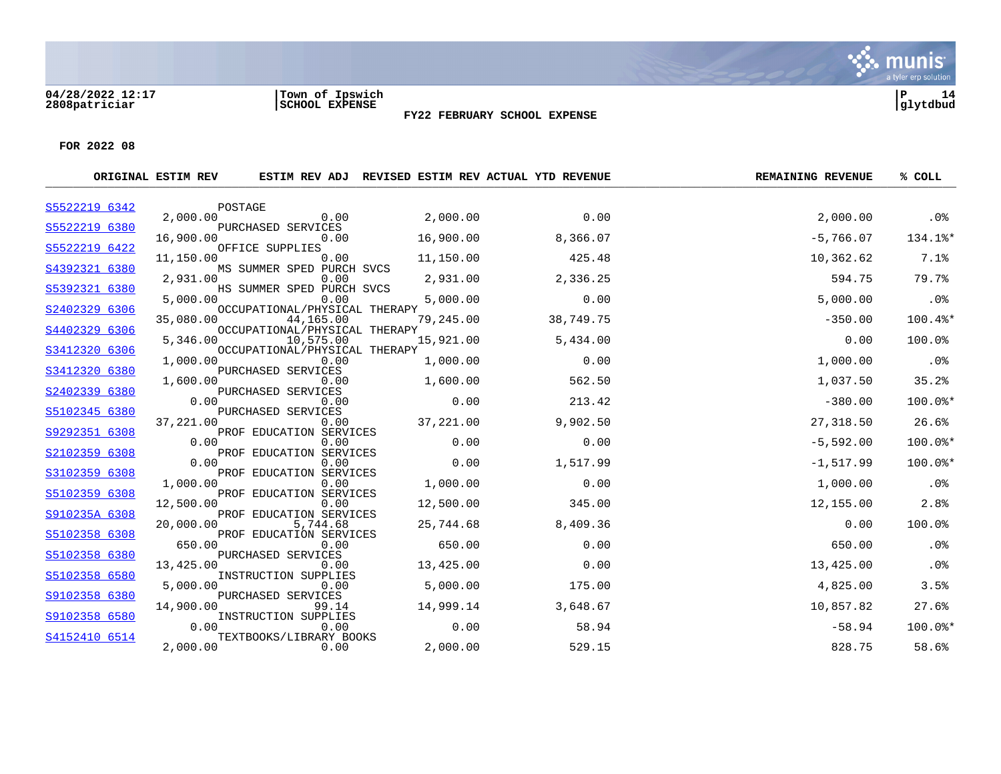#### **04/28/2022 12:17 |Town of Ipswich |P 14 2808patriciar |SCHOOL EXPENSE |glytdbud**



**FY22 FEBRUARY SCHOOL EXPENSE**

|               | ORIGINAL ESTIM REV |                                            |           | ESTIM REV ADJ REVISED ESTIM REV ACTUAL YTD REVENUE | <b>REMAINING REVENUE</b> | % COLL      |
|---------------|--------------------|--------------------------------------------|-----------|----------------------------------------------------|--------------------------|-------------|
| S5522219 6342 |                    | POSTAGE                                    |           |                                                    |                          |             |
| S5522219 6380 | 2,000.00           | 0.00<br>PURCHASED SERVICES                 | 2,000.00  | 0.00                                               | 2,000.00                 | .0%         |
|               | 16,900.00          | 0.00                                       | 16,900.00 | 8,366.07                                           | $-5,766.07$              | 134.1%*     |
| S5522219 6422 | 11,150.00          | OFFICE SUPPLIES<br>0.00                    | 11,150.00 | 425.48                                             | 10,362.62                | 7.1%        |
| S4392321 6380 | 2,931.00           | MS SUMMER SPED PURCH SVCS<br>0.00          | 2,931.00  | 2,336.25                                           | 594.75                   | 79.7%       |
| S5392321 6380 |                    | HS SUMMER SPED PURCH SVCS                  |           |                                                    |                          |             |
| S2402329 6306 | 5,000.00           | 0.00<br>OCCUPATIONAL/PHYSICAL THERAPY      | 5,000.00  | 0.00                                               | 5,000.00                 | .0%         |
|               | 35,080.00          | 44,165.00                                  | 79,245.00 | 38,749.75                                          | $-350.00$                | $100.4$ $*$ |
| S4402329 6306 | 5,346.00           | OCCUPATIONAL/PHYSICAL THERAPY<br>10,575.00 | 15,921.00 | 5,434.00                                           | 0.00                     | 100.0%      |
| S3412320 6306 | 1,000.00           | OCCUPATIONAL/PHYSICAL THERAPY<br>0.00      | 1,000.00  | 0.00                                               | 1,000.00                 | .0%         |
| S3412320 6380 |                    | PURCHASED SERVICES                         |           |                                                    |                          |             |
| S2402339 6380 | 1,600.00           | 0.00<br>PURCHASED SERVICES                 | 1,600.00  | 562.50                                             | 1,037.50                 | 35.2%       |
| S5102345 6380 | 0.00               | 0.00<br>PURCHASED SERVICES                 | 0.00      | 213.42                                             | $-380.00$                | 100.0%*     |
|               | 37,221.00          | 0.00                                       | 37,221.00 | 9,902.50                                           | 27,318.50                | 26.6%       |
| S9292351 6308 | 0.00               | PROF EDUCATION SERVICES<br>0.00            | 0.00      | 0.00                                               | $-5,592.00$              | 100.0%*     |
| S2102359 6308 | 0.00               | PROF EDUCATION SERVICES<br>0.00            | 0.00      | 1,517.99                                           | $-1, 517.99$             | $100.0$ *   |
| S3102359 6308 |                    | PROF EDUCATION SERVICES                    |           |                                                    |                          |             |
| S5102359 6308 | 1,000.00           | 0.00<br>PROF EDUCATION SERVICES            | 1,000.00  | 0.00                                               | 1,000.00                 | .0%         |
|               | 12,500.00          | 0.00                                       | 12,500.00 | 345.00                                             | 12,155.00                | 2.8%        |
| S910235A 6308 | 20,000.00          | PROF EDUCATION SERVICES<br>5,744.68        | 25,744.68 | 8,409.36                                           | 0.00                     | 100.0%      |
| S5102358 6308 | 650.00             | PROF EDUCATION SERVICES<br>0.00            | 650.00    | 0.00                                               | 650.00                   | .0%         |
| S5102358 6380 |                    | PURCHASED SERVICES                         |           |                                                    |                          |             |
| S5102358 6580 | 13,425.00          | 0.00<br>INSTRUCTION SUPPLIES               | 13,425.00 | 0.00                                               | 13,425.00                | .0%         |
|               | 5,000.00           | 0.00                                       | 5,000.00  | 175.00                                             | 4,825.00                 | 3.5%        |
| S9102358 6380 | 14,900.00          | PURCHASED SERVICES<br>99.14                | 14,999.14 | 3,648.67                                           | 10,857.82                | 27.6%       |
| S9102358 6580 | 0.00               | INSTRUCTION SUPPLIES<br>0.00               | 0.00      | 58.94                                              | $-58.94$                 | $100.0$ *   |
| S4152410 6514 |                    | TEXTBOOKS/LIBRARY BOOKS                    |           |                                                    |                          |             |
|               | 2,000.00           | 0.00                                       | 2,000.00  | 529.15                                             | 828.75                   | 58.6%       |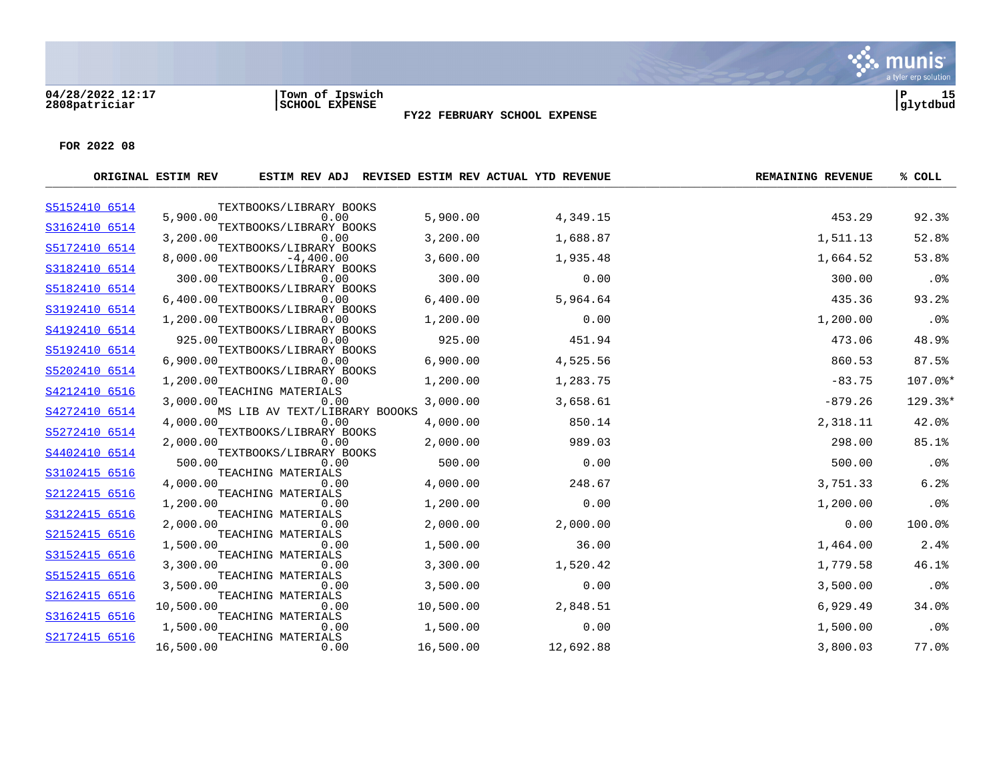#### **04/28/2022 12:17 |Town of Ipswich |P 15 2808patriciar |SCHOOL EXPENSE |glytdbud**



**FY22 FEBRUARY SCHOOL EXPENSE**

|               | ORIGINAL ESTIM REV |                                        |           | ESTIM REV ADJ REVISED ESTIM REV ACTUAL YTD REVENUE | <b>REMAINING REVENUE</b> | % COLL     |
|---------------|--------------------|----------------------------------------|-----------|----------------------------------------------------|--------------------------|------------|
| S5152410 6514 |                    | TEXTBOOKS/LIBRARY BOOKS                |           |                                                    |                          |            |
|               | 5,900.00           | 0.00<br>TEXTBOOKS/LIBRARY BOOKS        | 5,900.00  | 4,349.15                                           | 453.29                   | 92.3%      |
| S3162410 6514 | 3,200.00           | 0.00                                   | 3,200.00  | 1,688.87                                           | 1,511.13                 | 52.8%      |
| S5172410 6514 |                    | TEXTBOOKS/LIBRARY BOOKS                |           |                                                    |                          |            |
| S3182410 6514 | 8,000.00           | $-4,400.00$<br>TEXTBOOKS/LIBRARY BOOKS | 3,600.00  | 1,935.48                                           | 1,664.52                 | 53.8%      |
|               | 300.00             | 0.00                                   | 300.00    | 0.00                                               | 300.00                   | .0%        |
| S5182410 6514 | 6,400.00           | TEXTBOOKS/LIBRARY BOOKS<br>0.00        | 6,400.00  | 5,964.64                                           | 435.36                   | 93.2%      |
| S3192410 6514 |                    | TEXTBOOKS/LIBRARY BOOKS                |           |                                                    |                          |            |
|               | 1,200.00           | 0.00                                   | 1,200.00  | 0.00                                               | 1,200.00                 | $.0\%$     |
| S4192410 6514 | 925.00             | TEXTBOOKS/LIBRARY BOOKS<br>0.00        | 925.00    | 451.94                                             | 473.06                   | 48.9%      |
| S5192410 6514 |                    | TEXTBOOKS/LIBRARY BOOKS                |           |                                                    |                          |            |
|               | 6,900.00           | 0.00                                   | 6,900.00  | 4,525.56                                           | 860.53                   | 87.5%      |
| S5202410 6514 | 1,200.00           | TEXTBOOKS/LIBRARY BOOKS<br>0.00        | 1,200.00  | 1,283.75                                           | $-83.75$                 | 107.0%*    |
| S4212410 6516 |                    | TEACHING MATERIALS                     |           |                                                    |                          |            |
| S4272410 6514 | 3,000.00           | 0.00<br>MS LIB AV TEXT/LIBRARY BOOOKS  | 3,000.00  | 3,658.61                                           | $-879.26$                | 129.3%*    |
|               | 4,000.00           | 0.00                                   | 4,000.00  | 850.14                                             | 2,318.11                 | 42.0%      |
| S5272410 6514 |                    | TEXTBOOKS/LIBRARY BOOKS                |           |                                                    |                          |            |
| S4402410 6514 | 2,000.00           | 0.00<br>TEXTBOOKS/LIBRARY BOOKS        | 2,000.00  | 989.03                                             | 298.00                   | 85.1%      |
|               | 500.00             | 0.00                                   | 500.00    | 0.00                                               | 500.00                   | .0%        |
| S3102415 6516 |                    | TEACHING MATERIALS                     |           |                                                    |                          |            |
| S2122415 6516 | 4,000.00           | 0.00<br>TEACHING MATERIALS             | 4,000.00  | 248.67                                             | 3,751.33                 | 6.2%       |
|               | 1,200.00           | 0.00                                   | 1,200.00  | 0.00                                               | 1,200.00                 | .0%        |
| S3122415 6516 | 2,000.00           | TEACHING MATERIALS<br>0.00             | 2,000.00  | 2,000.00                                           | 0.00                     | 100.0%     |
| S2152415 6516 |                    | TEACHING MATERIALS                     |           |                                                    |                          |            |
|               | 1,500.00           | 0.00                                   | 1,500.00  | 36.00                                              | 1,464.00                 | 2.4%       |
| S3152415 6516 | 3,300.00           | TEACHING MATERIALS<br>0.00             | 3,300.00  | 1,520.42                                           | 1,779.58                 | 46.1%      |
| S5152415 6516 |                    | TEACHING MATERIALS                     |           |                                                    |                          |            |
|               | 3,500.00           | 0.00                                   | 3,500.00  | 0.00                                               | 3,500.00                 | .0%        |
| S2162415 6516 | 10,500.00          | TEACHING MATERIALS<br>0.00             | 10,500.00 | 2,848.51                                           | 6,929.49                 | 34.0%      |
| S3162415 6516 |                    | TEACHING MATERIALS                     |           |                                                    |                          |            |
| S2172415 6516 | 1,500.00           | 0.00<br>TEACHING MATERIALS             | 1,500.00  | 0.00                                               | 1,500.00                 | .0%        |
|               | 16,500.00          | 0.00                                   | 16,500.00 | 12,692.88                                          | 3,800.03                 | $77.0$ $%$ |
|               |                    |                                        |           |                                                    |                          |            |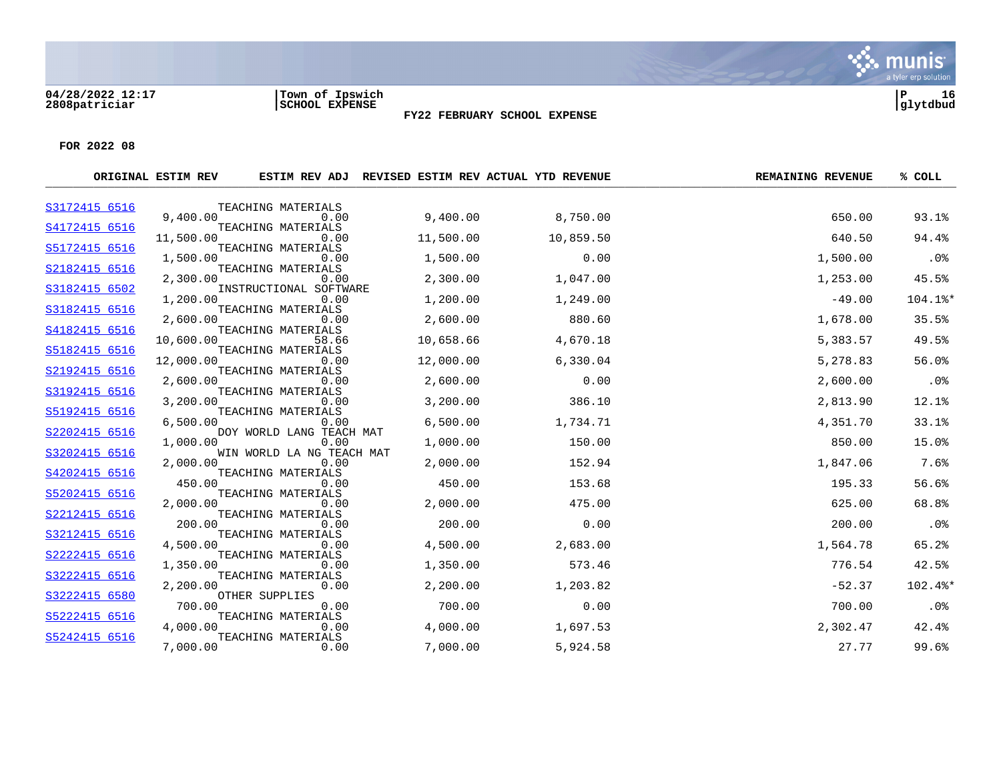#### **04/28/2022 12:17 |Town of Ipswich |P 16 2808patriciar |SCHOOL EXPENSE |glytdbud**



**FY22 FEBRUARY SCHOOL EXPENSE**

|               | ORIGINAL ESTIM REV |                                  |           | ESTIM REV ADJ REVISED ESTIM REV ACTUAL YTD REVENUE | <b>REMAINING REVENUE</b> | % COLL  |
|---------------|--------------------|----------------------------------|-----------|----------------------------------------------------|--------------------------|---------|
| S3172415 6516 |                    | TEACHING MATERIALS               |           |                                                    |                          |         |
| S4172415 6516 | 9,400.00           | 0.00<br>TEACHING MATERIALS       | 9,400.00  | 8,750.00                                           | 650.00                   | 93.1%   |
|               | 11,500.00          | 0.00                             | 11,500.00 | 10,859.50                                          | 640.50                   | 94.4%   |
| S5172415 6516 | 1,500.00           | TEACHING MATERIALS<br>0.00       | 1,500.00  | 0.00                                               | 1,500.00                 | .0%     |
| S2182415 6516 |                    | TEACHING MATERIALS               |           |                                                    |                          |         |
| S3182415 6502 | 2,300.00           | 0.00<br>INSTRUCTIONAL SOFTWARE   | 2,300.00  | 1,047.00                                           | 1,253.00                 | 45.5%   |
|               | 1,200.00           | 0.00                             | 1,200.00  | 1,249.00                                           | $-49.00$                 | 104.1%* |
| S3182415 6516 | 2,600.00           | TEACHING MATERIALS<br>0.00       | 2,600.00  | 880.60                                             | 1,678.00                 | 35.5%   |
| S4182415 6516 |                    | TEACHING MATERIALS               |           |                                                    |                          |         |
| S5182415 6516 | 10,600.00          | 58.66<br>TEACHING MATERIALS      | 10,658.66 | 4,670.18                                           | 5,383.57                 | 49.5%   |
|               | 12,000.00          | 0.00                             | 12,000.00 | 6,330.04                                           | 5,278.83                 | 56.0%   |
| S2192415 6516 | 2,600.00           | TEACHING MATERIALS<br>0.00       | 2,600.00  | 0.00                                               | 2,600.00                 | .0%     |
| S3192415 6516 |                    | TEACHING MATERIALS               |           |                                                    |                          |         |
| S5192415 6516 | 3,200.00           | 0.00<br>TEACHING MATERIALS       | 3,200.00  | 386.10                                             | 2,813.90                 | 12.1%   |
|               | 6,500.00           | 0.00                             | 6,500.00  | 1,734.71                                           | 4,351.70                 | 33.1%   |
| S2202415 6516 | 1,000.00           | DOY WORLD LANG TEACH MAT<br>0.00 | 1,000.00  | 150.00                                             | 850.00                   | 15.0%   |
| S3202415 6516 |                    | WIN WORLD LA NG TEACH MAT        |           |                                                    |                          |         |
| S4202415 6516 | 2,000.00           | 0.00<br>TEACHING MATERIALS       | 2,000.00  | 152.94                                             | 1,847.06                 | 7.6%    |
|               | 450.00             | 0.00                             | 450.00    | 153.68                                             | 195.33                   | 56.6%   |
| S5202415 6516 | 2,000.00           | TEACHING MATERIALS<br>0.00       | 2,000.00  | 475.00                                             | 625.00                   | 68.8%   |
| S2212415 6516 |                    | TEACHING MATERIALS               |           |                                                    |                          |         |
| S3212415 6516 | 200.00             | 0.00<br>TEACHING MATERIALS       | 200.00    | 0.00                                               | 200.00                   | .0%     |
|               | 4,500.00           | 0.00                             | 4,500.00  | 2,683.00                                           | 1,564.78                 | 65.2%   |
| S2222415 6516 | 1,350.00           | TEACHING MATERIALS<br>0.00       | 1,350.00  | 573.46                                             | 776.54                   | 42.5%   |
| S3222415 6516 |                    | TEACHING MATERIALS               |           |                                                    |                          |         |
| S3222415 6580 | 2,200.00           | 0.00<br>OTHER SUPPLIES           | 2,200.00  | 1,203.82                                           | $-52.37$                 | 102.4%* |
|               | 700.00             | 0.00                             | 700.00    | 0.00                                               | 700.00                   | .0%     |
| S5222415 6516 | 4,000.00           | TEACHING MATERIALS<br>0.00       | 4,000.00  | 1,697.53                                           | 2,302.47                 | 42.4%   |
| S5242415 6516 |                    | TEACHING MATERIALS               |           |                                                    |                          |         |
|               | 7,000.00           | 0.00                             | 7,000.00  | 5,924.58                                           | 27.77                    | 99.6%   |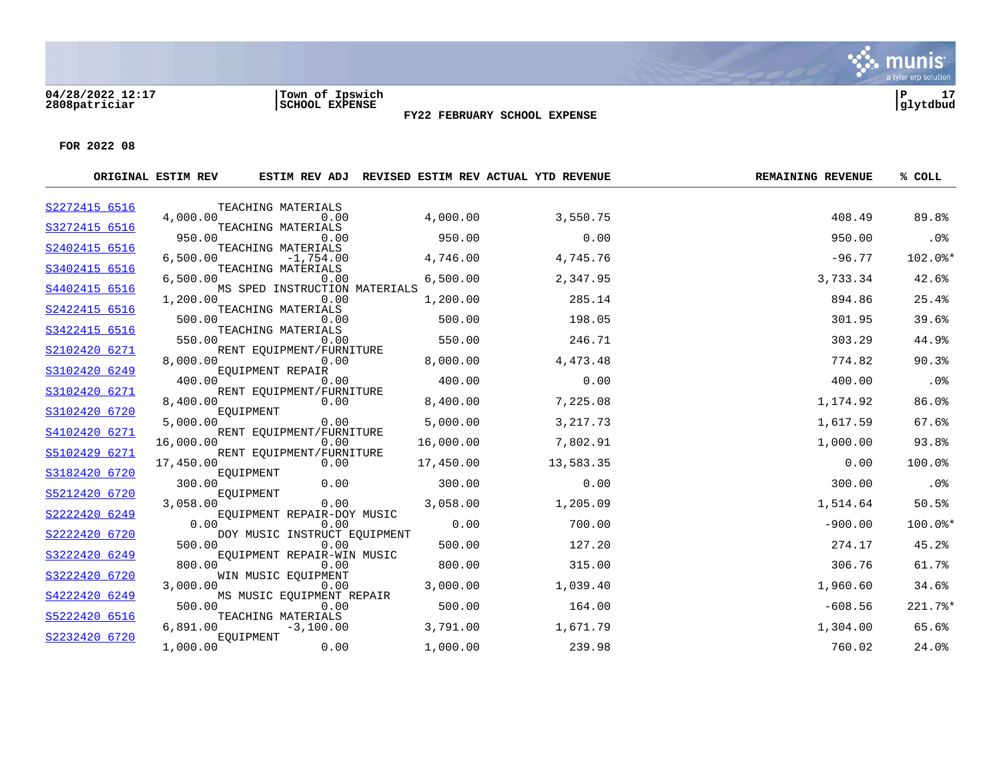#### **04/28/2022 12:17 |Town of Ipswich |P 17 2808patriciar |SCHOOL EXPENSE |glytdbud**



**FY22 FEBRUARY SCHOOL EXPENSE**

|               | ORIGINAL ESTIM REV |                                       |           | ESTIM REV ADJ REVISED ESTIM REV ACTUAL YTD REVENUE | <b>REMAINING REVENUE</b> | % COLL    |
|---------------|--------------------|---------------------------------------|-----------|----------------------------------------------------|--------------------------|-----------|
| S2272415 6516 |                    | TEACHING MATERIALS                    |           |                                                    |                          |           |
| S3272415 6516 | 4,000.00           | 0.00<br>TEACHING MATERIALS            | 4,000.00  | 3,550.75                                           | 408.49                   | 89.8%     |
|               | 950.00             | 0.00                                  | 950.00    | 0.00                                               | 950.00                   | $.0\%$    |
| S2402415 6516 | 6.500.00           | TEACHING MATERIALS<br>$-1,754.00$     | 4,746.00  | 4,745.76                                           | $-96.77$                 | 102.0%*   |
| S3402415 6516 |                    | TEACHING MATERIALS                    |           |                                                    |                          |           |
| S4402415 6516 | 6,500.00           | 0.00<br>MS SPED INSTRUCTION MATERIALS | 6,500.00  | 2,347.95                                           | 3,733.34                 | 42.6%     |
| S2422415 6516 | 1,200.00           | 0.00<br>TEACHING MATERIALS            | 1,200.00  | 285.14                                             | 894.86                   | 25.4%     |
|               | 500.00             | 0.00                                  | 500.00    | 198.05                                             | 301.95                   | 39.6%     |
| S3422415 6516 | 550.00             | TEACHING MATERIALS<br>0.00            | 550.00    | 246.71                                             | 303.29                   | 44.9%     |
| S2102420 6271 |                    | RENT EQUIPMENT/FURNITURE              |           |                                                    |                          |           |
|               | 8,000.00           | 0.00                                  | 8,000.00  | 4,473.48                                           | 774.82                   | 90.3%     |
| S3102420 6249 | 400.00             | EQUIPMENT REPAIR<br>0.00              | 400.00    | 0.00                                               | 400.00                   | .0%       |
| S3102420 6271 | 8,400.00           | RENT EQUIPMENT/FURNITURE<br>0.00      | 8,400.00  | 7,225.08                                           | 1,174.92                 | 86.0%     |
| S3102420 6720 |                    | EQUIPMENT                             |           |                                                    |                          |           |
| S4102420 6271 | 5,000.00           | 0.00<br>RENT EOUIPMENT/FURNITURE      | 5,000.00  | 3, 217.73                                          | 1,617.59                 | 67.6%     |
|               | 16,000.00          | 0.00                                  | 16,000.00 | 7,802.91                                           | 1,000.00                 | 93.8%     |
| S5102429 6271 | 17,450.00          | RENT EQUIPMENT/FURNITURE<br>0.00      | 17,450.00 | 13,583.35                                          | 0.00                     | 100.0%    |
| S3182420 6720 |                    | EQUIPMENT                             |           |                                                    |                          |           |
|               | 300.00             | 0.00                                  | 300.00    | 0.00                                               | 300.00                   | .0%       |
| S5212420 6720 | 3,058.00           | EOUIPMENT<br>0.00                     | 3,058.00  | 1,205.09                                           | 1,514.64                 | 50.5%     |
| S2222420 6249 |                    | EOUIPMENT REPAIR-DOY MUSIC            |           |                                                    |                          |           |
|               | 0.00               | 0.00                                  | 0.00      | 700.00                                             | $-900.00$                | $100.0$ * |
| S2222420 6720 | 500.00             | DOY MUSIC INSTRUCT EQUIPMENT<br>0.00  | 500.00    | 127.20                                             | 274.17                   | 45.2%     |
| S3222420 6249 |                    | EOUIPMENT REPAIR-WIN MUSIC            |           |                                                    |                          |           |
|               | 800.00             | 0.00                                  | 800.00    | 315.00                                             | 306.76                   | 61.7%     |
| S3222420 6720 | 3,000.00           | WIN MUSIC EOUIPMENT<br>0.00           | 3,000.00  | 1,039.40                                           | 1,960.60                 | 34.6%     |
| S4222420 6249 |                    | MS MUSIC EQUIPMENT REPAIR             |           |                                                    |                          |           |
| S5222420 6516 | 500.00             | 0.00<br>TEACHING MATERIALS            | 500.00    | 164.00                                             | $-608.56$                | 221.7%*   |
|               | 6,891.00           | $-3,100.00$                           | 3,791.00  | 1,671.79                                           | 1,304.00                 | 65.6%     |
| S2232420 6720 | 1,000.00           | EQUIPMENT<br>0.00                     | 1,000.00  | 239.98                                             | 760.02                   | 24.0%     |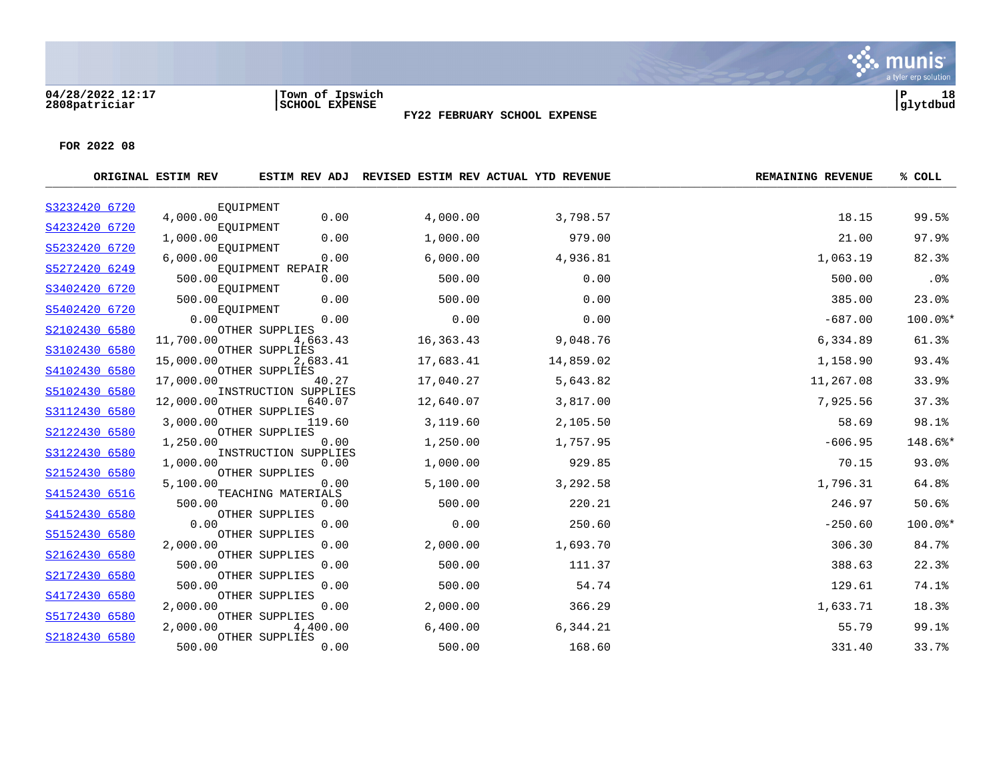#### **04/28/2022 12:17 |Town of Ipswich |P 18 2808patriciar |SCHOOL EXPENSE |glytdbud**



Six munis

**FY22 FEBRUARY SCHOOL EXPENSE**

|               | ORIGINAL ESTIM REV |                                |           | ESTIM REV ADJ REVISED ESTIM REV ACTUAL YTD REVENUE | <b>REMAINING REVENUE</b> | % COLL    |
|---------------|--------------------|--------------------------------|-----------|----------------------------------------------------|--------------------------|-----------|
| S3232420 6720 |                    | EQUIPMENT                      |           |                                                    |                          |           |
|               | 4,000.00           | 0.00                           | 4,000.00  | 3,798.57                                           | 18.15                    | 99.5%     |
| S4232420 6720 | 1,000.00           | EQUIPMENT<br>0.00              | 1,000.00  | 979.00                                             | 21.00                    | 97.9%     |
| S5232420 6720 | 6,000.00           | EOUIPMENT<br>0.00              | 6,000.00  | 4,936.81                                           | 1,063.19                 | 82.3%     |
| S5272420 6249 | 500.00             | EQUIPMENT REPAIR<br>0.00       | 500.00    | 0.00                                               | 500.00                   | .0%       |
| S3402420 6720 | 500.00             | EOUIPMENT<br>0.00              | 500.00    | 0.00                                               | 385.00                   | 23.0%     |
| S5402420 6720 | 0.00               | EQUIPMENT<br>0.00              | 0.00      | 0.00                                               | $-687.00$                | $100.0$ * |
| S2102430 6580 |                    | OTHER SUPPLIES                 |           |                                                    |                          |           |
| S3102430 6580 | 11,700.00          | 4,663.43<br>OTHER SUPPLIES     | 16,363.43 | 9,048.76                                           | 6,334.89                 | 61.3%     |
| S4102430 6580 | 15,000.00          | 2,683.41<br>OTHER SUPPLIES     | 17,683.41 | 14,859.02                                          | 1,158.90                 | 93.4%     |
|               | 17,000.00          | 40.27                          | 17,040.27 | 5,643.82                                           | 11,267.08                | 33.9%     |
| S5102430 6580 | 12,000.00          | INSTRUCTION SUPPLIES<br>640.07 | 12,640.07 | 3,817.00                                           | 7,925.56                 | 37.3%     |
| S3112430 6580 | 3,000.00           | OTHER SUPPLIES<br>119.60       | 3,119.60  | 2,105.50                                           | 58.69                    | 98.1%     |
| S2122430 6580 | 1,250.00           | OTHER SUPPLIES<br>0.00         | 1,250.00  | 1,757.95                                           | $-606.95$                | 148.6%*   |
| S3122430 6580 | 1,000.00           | INSTRUCTION SUPPLIES<br>0.00   | 1,000.00  | 929.85                                             | 70.15                    | 93.0%     |
| S2152430 6580 | 5,100.00           | OTHER SUPPLIES                 |           | 3,292.58                                           |                          | 64.8%     |
| S4152430 6516 |                    | 0.00<br>TEACHING MATERIALS     | 5,100.00  |                                                    | 1,796.31                 |           |
| S4152430 6580 | 500.00             | 0.00<br>OTHER SUPPLIES         | 500.00    | 220.21                                             | 246.97                   | 50.6%     |
|               | 0.00               | 0.00                           | 0.00      | 250.60                                             | $-250.60$                | 100.0%*   |
| S5152430 6580 | 2,000.00           | OTHER SUPPLIES<br>0.00         | 2,000.00  | 1,693.70                                           | 306.30                   | 84.7%     |
| S2162430 6580 | 500.00             | OTHER SUPPLIES<br>0.00         | 500.00    | 111.37                                             | 388.63                   | 22.3%     |
| S2172430 6580 | 500.00             | OTHER SUPPLIES<br>0.00         | 500.00    | 54.74                                              | 129.61                   | 74.1%     |
| S4172430 6580 | 2,000.00           | OTHER SUPPLIES<br>0.00         | 2,000.00  | 366.29                                             | 1,633.71                 | 18.3%     |
| S5172430 6580 |                    | OTHER SUPPLIES                 |           |                                                    |                          |           |
| S2182430 6580 | 2,000.00           | 4,400.00<br>OTHER SUPPLIES     | 6,400.00  | 6,344.21                                           | 55.79                    | 99.1%     |
|               | 500.00             | 0.00                           | 500.00    | 168.60                                             | 331.40                   | 33.7%     |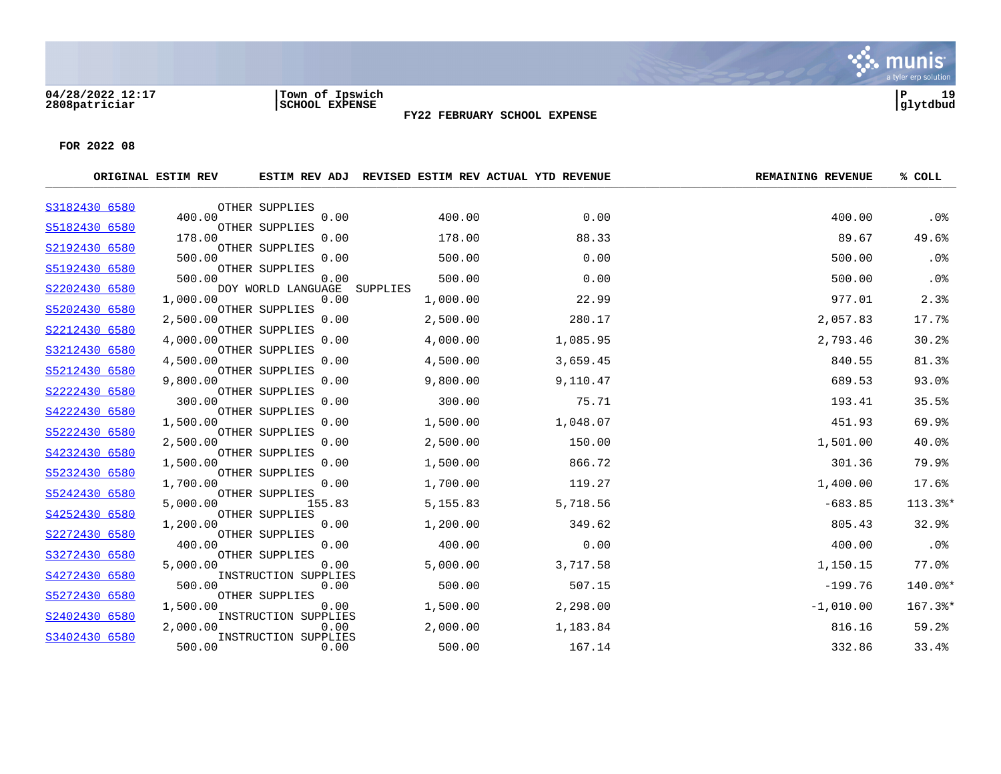#### **04/28/2022 12:17 |Town of Ipswich |P 19 2808patriciar |SCHOOL EXPENSE |glytdbud**



**FY22 FEBRUARY SCHOOL EXPENSE**

|               | ORIGINAL ESTIM REV |                              | ESTIM REV ADJ REVISED ESTIM REV ACTUAL YTD REVENUE |          | <b>REMAINING REVENUE</b> | % COLL               |
|---------------|--------------------|------------------------------|----------------------------------------------------|----------|--------------------------|----------------------|
| S3182430 6580 |                    | OTHER SUPPLIES               |                                                    |          |                          |                      |
| S5182430 6580 | 400.00             | 0.00<br>OTHER SUPPLIES       | 400.00                                             | 0.00     | 400.00                   | .0%                  |
|               | 178.00             | 0.00                         | 178.00                                             | 88.33    | 89.67                    | 49.6%                |
| S2192430 6580 | 500.00             | OTHER SUPPLIES<br>0.00       | 500.00                                             | 0.00     | 500.00                   | .0%                  |
| S5192430 6580 |                    | OTHER SUPPLIES               |                                                    |          |                          |                      |
| S2202430 6580 | 500.00             | 0.00<br>DOY WORLD LANGUAGE   | 500.00<br>SUPPLIES                                 | 0.00     | 500.00                   | .0%                  |
|               | 1,000.00           | 0.00                         | 1,000.00                                           | 22.99    | 977.01                   | 2.3%                 |
| S5202430 6580 | 2,500.00           | OTHER SUPPLIES<br>0.00       | 2,500.00                                           | 280.17   | 2,057.83                 | 17.7%                |
| S2212430 6580 |                    | OTHER SUPPLIES               |                                                    |          |                          |                      |
| S3212430 6580 | 4,000.00           | 0.00<br>OTHER SUPPLIES       | 4,000.00                                           | 1,085.95 | 2,793.46                 | 30.2%                |
|               | 4,500.00           | 0.00                         | 4,500.00                                           | 3,659.45 | 840.55                   | 81.3%                |
| S5212430 6580 | 9,800.00           | OTHER SUPPLIES<br>0.00       | 9,800.00                                           | 9,110.47 | 689.53                   | 93.0%                |
| S2222430 6580 | 300.00             | OTHER SUPPLIES<br>0.00       | 300.00                                             | 75.71    | 193.41                   | 35.5%                |
| S4222430 6580 |                    | OTHER SUPPLIES               |                                                    |          |                          |                      |
| S5222430 6580 | 1,500.00           | 0.00<br>OTHER SUPPLIES       | 1,500.00                                           | 1,048.07 | 451.93                   | 69.9%                |
|               | 2,500.00           | 0.00                         | 2,500.00                                           | 150.00   | 1,501.00                 | 40.0%                |
| S4232430 6580 | 1,500.00           | OTHER SUPPLIES<br>0.00       | 1,500.00                                           | 866.72   | 301.36                   | 79.9%                |
| S5232430 6580 |                    | OTHER SUPPLIES               |                                                    |          |                          |                      |
| S5242430 6580 | 1,700.00           | 0.00<br>OTHER SUPPLIES       | 1,700.00                                           | 119.27   | 1,400.00                 | 17.6%                |
|               | 5,000.00           | 155.83                       | 5,155.83                                           | 5,718.56 | $-683.85$                | $113.3$ <sup>*</sup> |
| S4252430 6580 | 1,200.00           | OTHER SUPPLIES<br>0.00       | 1,200.00                                           | 349.62   | 805.43                   | 32.9%                |
| S2272430 6580 | 400.00             | OTHER SUPPLIES<br>0.00       | 400.00                                             | 0.00     | 400.00                   | .0%                  |
| S3272430 6580 |                    | OTHER SUPPLIES               |                                                    |          |                          |                      |
| S4272430 6580 | 5,000.00           | 0.00<br>INSTRUCTION SUPPLIES | 5,000.00                                           | 3,717.58 | 1,150.15                 | 77.0%                |
|               | 500.00             | 0.00                         | 500.00                                             | 507.15   | $-199.76$                | 140.0%*              |
| S5272430 6580 | 1,500.00           | OTHER SUPPLIES<br>0.00       | 1,500.00                                           | 2,298.00 | $-1,010.00$              | 167.3%*              |
| S2402430 6580 |                    | INSTRUCTION SUPPLIES         |                                                    |          |                          |                      |
| S3402430 6580 | 2,000.00           | 0.00<br>INSTRUCTION SUPPLIES | 2,000.00                                           | 1,183.84 | 816.16                   | 59.2%                |
|               | 500.00             | 0.00                         | 500.00                                             | 167.14   | 332.86                   | 33.4%                |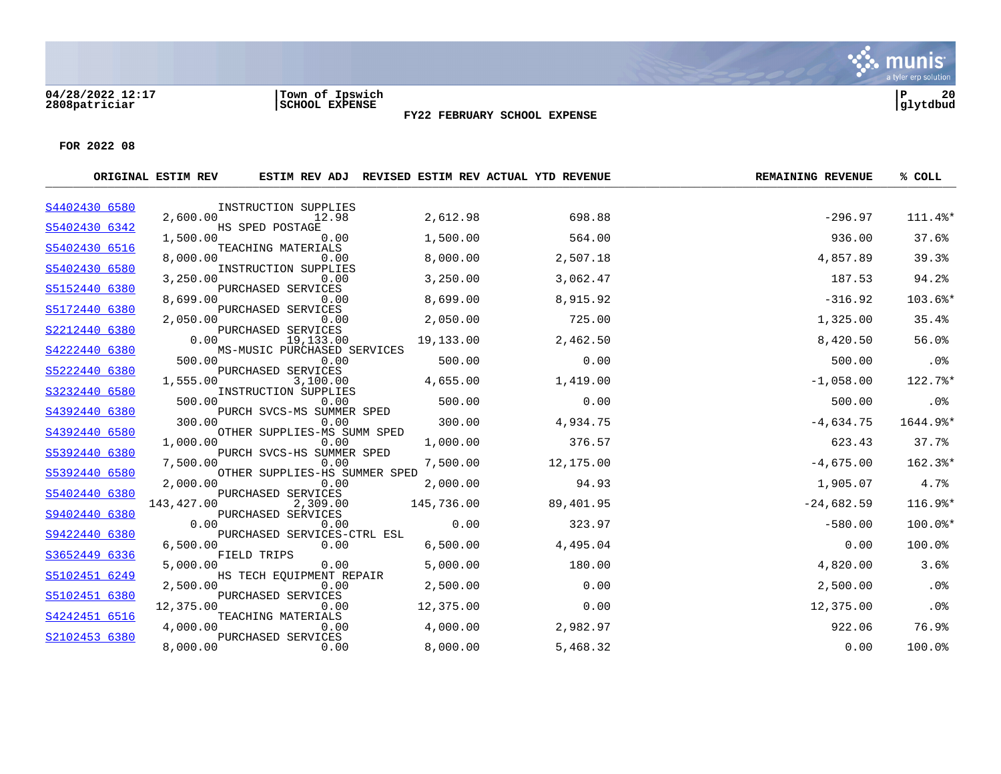# **04/28/2022 12:17 |Town of Ipswich |P 20**



**2808patriciar |SCHOOL EXPENSE |glytdbud**

**FY22 FEBRUARY SCHOOL EXPENSE**

|                                                                                                                                                                                                                                                                                                                                                                                    |                                                                                                                                                       |                                                                                                                                                                                                                                                                                                                                                                                          |                                                                                                                                                                                                                                                                                                                                                                                                                      | <b>REMAINING REVENUE</b>                                                                                                                                        | % COLL                                                                                                                                        |
|------------------------------------------------------------------------------------------------------------------------------------------------------------------------------------------------------------------------------------------------------------------------------------------------------------------------------------------------------------------------------------|-------------------------------------------------------------------------------------------------------------------------------------------------------|------------------------------------------------------------------------------------------------------------------------------------------------------------------------------------------------------------------------------------------------------------------------------------------------------------------------------------------------------------------------------------------|----------------------------------------------------------------------------------------------------------------------------------------------------------------------------------------------------------------------------------------------------------------------------------------------------------------------------------------------------------------------------------------------------------------------|-----------------------------------------------------------------------------------------------------------------------------------------------------------------|-----------------------------------------------------------------------------------------------------------------------------------------------|
|                                                                                                                                                                                                                                                                                                                                                                                    |                                                                                                                                                       |                                                                                                                                                                                                                                                                                                                                                                                          |                                                                                                                                                                                                                                                                                                                                                                                                                      |                                                                                                                                                                 |                                                                                                                                               |
|                                                                                                                                                                                                                                                                                                                                                                                    |                                                                                                                                                       |                                                                                                                                                                                                                                                                                                                                                                                          |                                                                                                                                                                                                                                                                                                                                                                                                                      |                                                                                                                                                                 | 111.4%*                                                                                                                                       |
| 1,500.00                                                                                                                                                                                                                                                                                                                                                                           | 0.00                                                                                                                                                  | 1,500.00                                                                                                                                                                                                                                                                                                                                                                                 | 564.00                                                                                                                                                                                                                                                                                                                                                                                                               | 936.00                                                                                                                                                          | 37.6%                                                                                                                                         |
|                                                                                                                                                                                                                                                                                                                                                                                    |                                                                                                                                                       |                                                                                                                                                                                                                                                                                                                                                                                          |                                                                                                                                                                                                                                                                                                                                                                                                                      |                                                                                                                                                                 | 39.3%                                                                                                                                         |
|                                                                                                                                                                                                                                                                                                                                                                                    |                                                                                                                                                       |                                                                                                                                                                                                                                                                                                                                                                                          |                                                                                                                                                                                                                                                                                                                                                                                                                      |                                                                                                                                                                 |                                                                                                                                               |
|                                                                                                                                                                                                                                                                                                                                                                                    |                                                                                                                                                       |                                                                                                                                                                                                                                                                                                                                                                                          |                                                                                                                                                                                                                                                                                                                                                                                                                      |                                                                                                                                                                 | 94.2%                                                                                                                                         |
| 8,699.00                                                                                                                                                                                                                                                                                                                                                                           | 0.00                                                                                                                                                  | 8,699.00                                                                                                                                                                                                                                                                                                                                                                                 | 8,915.92                                                                                                                                                                                                                                                                                                                                                                                                             | $-316.92$                                                                                                                                                       | 103.6%*                                                                                                                                       |
|                                                                                                                                                                                                                                                                                                                                                                                    |                                                                                                                                                       |                                                                                                                                                                                                                                                                                                                                                                                          |                                                                                                                                                                                                                                                                                                                                                                                                                      |                                                                                                                                                                 | 35.4%                                                                                                                                         |
|                                                                                                                                                                                                                                                                                                                                                                                    |                                                                                                                                                       |                                                                                                                                                                                                                                                                                                                                                                                          |                                                                                                                                                                                                                                                                                                                                                                                                                      |                                                                                                                                                                 |                                                                                                                                               |
|                                                                                                                                                                                                                                                                                                                                                                                    |                                                                                                                                                       |                                                                                                                                                                                                                                                                                                                                                                                          | 2,462.50                                                                                                                                                                                                                                                                                                                                                                                                             |                                                                                                                                                                 | 56.0%                                                                                                                                         |
| 500.00                                                                                                                                                                                                                                                                                                                                                                             | 0.00                                                                                                                                                  | 500.00                                                                                                                                                                                                                                                                                                                                                                                   | 0.00                                                                                                                                                                                                                                                                                                                                                                                                                 | 500.00                                                                                                                                                          | .0%                                                                                                                                           |
|                                                                                                                                                                                                                                                                                                                                                                                    |                                                                                                                                                       |                                                                                                                                                                                                                                                                                                                                                                                          |                                                                                                                                                                                                                                                                                                                                                                                                                      |                                                                                                                                                                 | 122.7%*                                                                                                                                       |
|                                                                                                                                                                                                                                                                                                                                                                                    |                                                                                                                                                       |                                                                                                                                                                                                                                                                                                                                                                                          |                                                                                                                                                                                                                                                                                                                                                                                                                      |                                                                                                                                                                 |                                                                                                                                               |
| 500.00                                                                                                                                                                                                                                                                                                                                                                             | 0.00                                                                                                                                                  | 500.00                                                                                                                                                                                                                                                                                                                                                                                   | 0.00                                                                                                                                                                                                                                                                                                                                                                                                                 | 500.00                                                                                                                                                          | .0%                                                                                                                                           |
| 300.00                                                                                                                                                                                                                                                                                                                                                                             | 0.00                                                                                                                                                  | 300.00                                                                                                                                                                                                                                                                                                                                                                                   | 4,934.75                                                                                                                                                                                                                                                                                                                                                                                                             | $-4,634.75$                                                                                                                                                     | 1644.9%*                                                                                                                                      |
|                                                                                                                                                                                                                                                                                                                                                                                    |                                                                                                                                                       |                                                                                                                                                                                                                                                                                                                                                                                          |                                                                                                                                                                                                                                                                                                                                                                                                                      |                                                                                                                                                                 | 37.7%                                                                                                                                         |
|                                                                                                                                                                                                                                                                                                                                                                                    |                                                                                                                                                       |                                                                                                                                                                                                                                                                                                                                                                                          |                                                                                                                                                                                                                                                                                                                                                                                                                      |                                                                                                                                                                 |                                                                                                                                               |
| 7,500.00                                                                                                                                                                                                                                                                                                                                                                           | 0.00                                                                                                                                                  | 7,500.00                                                                                                                                                                                                                                                                                                                                                                                 | 12,175.00                                                                                                                                                                                                                                                                                                                                                                                                            | $-4,675.00$                                                                                                                                                     | 162.3%*                                                                                                                                       |
| 2,000.00                                                                                                                                                                                                                                                                                                                                                                           | 0.00                                                                                                                                                  |                                                                                                                                                                                                                                                                                                                                                                                          | 94.93                                                                                                                                                                                                                                                                                                                                                                                                                |                                                                                                                                                                 | 4.7%                                                                                                                                          |
|                                                                                                                                                                                                                                                                                                                                                                                    |                                                                                                                                                       |                                                                                                                                                                                                                                                                                                                                                                                          |                                                                                                                                                                                                                                                                                                                                                                                                                      |                                                                                                                                                                 |                                                                                                                                               |
|                                                                                                                                                                                                                                                                                                                                                                                    |                                                                                                                                                       |                                                                                                                                                                                                                                                                                                                                                                                          |                                                                                                                                                                                                                                                                                                                                                                                                                      |                                                                                                                                                                 | 116.9%*                                                                                                                                       |
| 0.00                                                                                                                                                                                                                                                                                                                                                                               | 0.00                                                                                                                                                  | 0.00                                                                                                                                                                                                                                                                                                                                                                                     | 323.97                                                                                                                                                                                                                                                                                                                                                                                                               | $-580.00$                                                                                                                                                       | 100.0%*                                                                                                                                       |
|                                                                                                                                                                                                                                                                                                                                                                                    |                                                                                                                                                       |                                                                                                                                                                                                                                                                                                                                                                                          |                                                                                                                                                                                                                                                                                                                                                                                                                      |                                                                                                                                                                 | 100.0%                                                                                                                                        |
|                                                                                                                                                                                                                                                                                                                                                                                    |                                                                                                                                                       |                                                                                                                                                                                                                                                                                                                                                                                          |                                                                                                                                                                                                                                                                                                                                                                                                                      |                                                                                                                                                                 |                                                                                                                                               |
|                                                                                                                                                                                                                                                                                                                                                                                    |                                                                                                                                                       |                                                                                                                                                                                                                                                                                                                                                                                          |                                                                                                                                                                                                                                                                                                                                                                                                                      |                                                                                                                                                                 | 3.6%                                                                                                                                          |
| 2,500.00                                                                                                                                                                                                                                                                                                                                                                           | 0.00                                                                                                                                                  | 2,500.00                                                                                                                                                                                                                                                                                                                                                                                 | 0.00                                                                                                                                                                                                                                                                                                                                                                                                                 | 2,500.00                                                                                                                                                        | .0%                                                                                                                                           |
|                                                                                                                                                                                                                                                                                                                                                                                    |                                                                                                                                                       |                                                                                                                                                                                                                                                                                                                                                                                          |                                                                                                                                                                                                                                                                                                                                                                                                                      |                                                                                                                                                                 | .0%                                                                                                                                           |
|                                                                                                                                                                                                                                                                                                                                                                                    |                                                                                                                                                       |                                                                                                                                                                                                                                                                                                                                                                                          |                                                                                                                                                                                                                                                                                                                                                                                                                      |                                                                                                                                                                 |                                                                                                                                               |
| 4,000.00                                                                                                                                                                                                                                                                                                                                                                           | 0.00                                                                                                                                                  | 4,000.00                                                                                                                                                                                                                                                                                                                                                                                 | 2,982.97                                                                                                                                                                                                                                                                                                                                                                                                             | 922.06                                                                                                                                                          | 76.9%                                                                                                                                         |
| 8,000.00                                                                                                                                                                                                                                                                                                                                                                           | 0.00                                                                                                                                                  | 8,000.00                                                                                                                                                                                                                                                                                                                                                                                 | 5,468.32                                                                                                                                                                                                                                                                                                                                                                                                             | 0.00                                                                                                                                                            | 100.0%                                                                                                                                        |
| S4402430 6580<br>S5402430 6342<br>S5402430 6516<br>S5402430 6580<br>S5152440 6380<br>S5172440 6380<br>S2212440 6380<br>S4222440 6380<br>S5222440 6380<br>S3232440 6580<br>S4392440 6380<br>S4392440 6580<br>S5392440 6380<br>S5392440 6580<br>S5402440 6380<br>S9402440 6380<br>S9422440 6380<br>S3652449 6336<br>S5102451 6249<br>S5102451 6380<br>S4242451 6516<br>S2102453 6380 | ORIGINAL ESTIM REV<br>2,600.00<br>8,000.00<br>3,250.00<br>2,050.00<br>0.00<br>1,555.00<br>1,000.00<br>143,427.00<br>6,500.00<br>5,000.00<br>12,375.00 | INSTRUCTION SUPPLIES<br>12.98<br>HS SPED POSTAGE<br>TEACHING MATERIALS<br>0.00<br>0.00<br>PURCHASED SERVICES<br>PURCHASED SERVICES<br>0.00<br>PURCHASED SERVICES<br>19,133.00<br>PURCHASED SERVICES<br>3,100.00<br>0.00<br>PURCHASED SERVICES<br>2,309.00<br>PURCHASED SERVICES<br>0.00<br>FIELD TRIPS<br>0.00<br>PURCHASED SERVICES<br>0.00<br>TEACHING MATERIALS<br>PURCHASED SERVICES | 2,612.98<br>8,000.00<br>INSTRUCTION SUPPLIES<br>3,250.00<br>2,050.00<br>19,133.00<br>MS-MUSIC PURCHASED SERVICES<br>4,655.00<br>INSTRUCTION SUPPLIES<br>PURCH SVCS-MS SUMMER SPED<br>OTHER SUPPLIES-MS SUMM SPED<br>1,000.00<br>PURCH SVCS-HS SUMMER SPED<br>OTHER SUPPLIES-HS SUMMER SPED<br>2,000.00<br>145,736.00<br>PURCHASED SERVICES-CTRL ESL<br>6,500.00<br>5,000.00<br>HS TECH EOUIPMENT REPAIR<br>12,375.00 | ESTIM REV ADJ REVISED ESTIM REV ACTUAL YTD REVENUE<br>698.88<br>2,507.18<br>3,062.47<br>725.00<br>1,419.00<br>376.57<br>89,401.95<br>4,495.04<br>180.00<br>0.00 | $-296.97$<br>4,857.89<br>187.53<br>1,325.00<br>8,420.50<br>$-1,058.00$<br>623.43<br>1,905.07<br>$-24,682.59$<br>0.00<br>4,820.00<br>12,375.00 |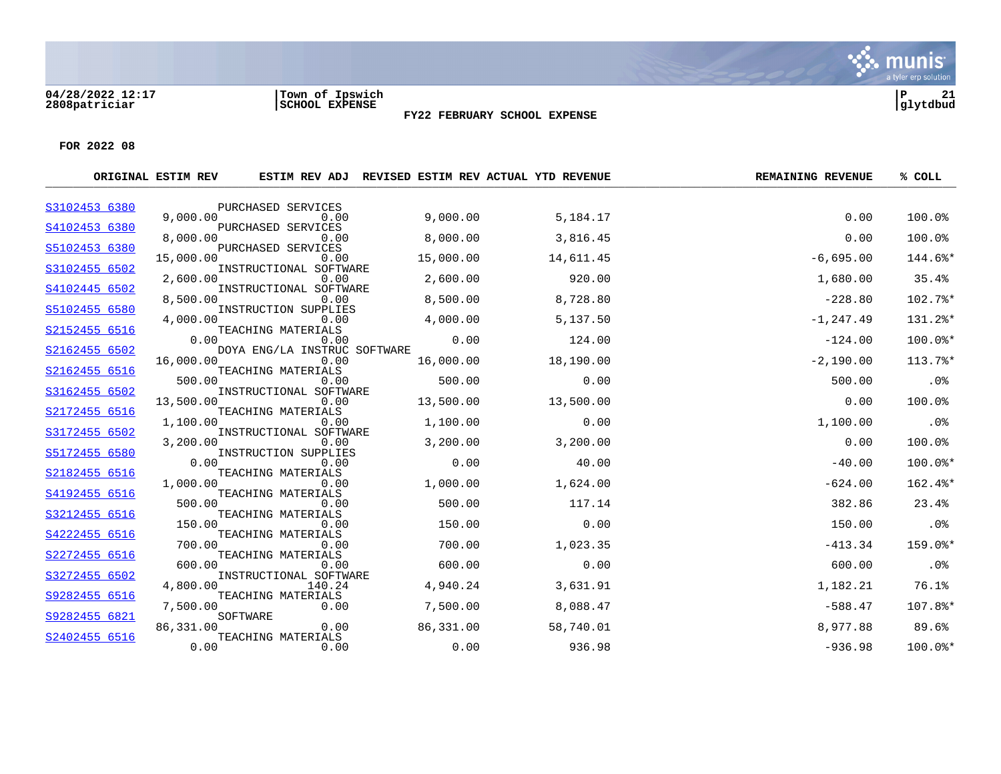#### **04/28/2022 12:17 |Town of Ipswich |P 21 2808patriciar |SCHOOL EXPENSE |glytdbud**



**FY22 FEBRUARY SCHOOL EXPENSE**

|               | ORIGINAL ESTIM REV |                                      |           | ESTIM REV ADJ REVISED ESTIM REV ACTUAL YTD REVENUE | <b>REMAINING REVENUE</b> | % COLL    |
|---------------|--------------------|--------------------------------------|-----------|----------------------------------------------------|--------------------------|-----------|
| S3102453 6380 |                    | PURCHASED SERVICES                   |           |                                                    |                          |           |
|               | 9,000.00           | 0.00                                 | 9,000.00  | 5,184.17                                           | 0.00                     | 100.0%    |
| S4102453 6380 | 8,000.00           | PURCHASED SERVICES<br>0.00           | 8,000.00  | 3,816.45                                           | 0.00                     | 100.0%    |
| S5102453 6380 |                    | PURCHASED SERVICES                   |           |                                                    |                          |           |
| S3102455 6502 | 15,000.00          | 0.00<br>INSTRUCTIONAL SOFTWARE       | 15,000.00 | 14,611.45                                          | $-6,695.00$              | 144.6%*   |
|               | 2,600.00           | 0.00                                 | 2,600.00  | 920.00                                             | 1,680.00                 | 35.4%     |
| S4102445 6502 | 8,500.00           | INSTRUCTIONAL SOFTWARE<br>0.00       | 8,500.00  | 8,728.80                                           | $-228.80$                | 102.7%*   |
| S5102455 6580 |                    | INSTRUCTION SUPPLIES                 |           |                                                    |                          |           |
| S2152455 6516 | 4,000.00           | 0.00<br>TEACHING MATERIALS           | 4,000.00  | 5,137.50                                           | $-1, 247.49$             | 131.2%*   |
|               | 0.00               | 0.00                                 | 0.00      | 124.00                                             | $-124.00$                | 100.0%*   |
| S2162455 6502 | 16,000.00          | DOYA ENG/LA INSTRUC SOFTWARE<br>0.00 | 16,000.00 | 18,190.00                                          | $-2,190.00$              | 113.7%*   |
| S2162455 6516 |                    | TEACHING MATERIALS                   |           |                                                    |                          |           |
| S3162455 6502 | 500.00             | 0.00<br>INSTRUCTIONAL SOFTWARE       | 500.00    | 0.00                                               | 500.00                   | .0%       |
|               | 13,500.00          | 0.00                                 | 13,500.00 | 13,500.00                                          | 0.00                     | 100.0%    |
| S2172455 6516 |                    | TEACHING MATERIALS                   |           |                                                    |                          |           |
| S3172455 6502 | 1,100.00           | 0.00<br>INSTRUCTIONAL SOFTWARE       | 1,100.00  | 0.00                                               | 1,100.00                 | .0%       |
|               | 3,200,00           | 0.00                                 | 3,200.00  | 3,200.00                                           | 0.00                     | 100.0%    |
| S5172455 6580 | 0.00               | INSTRUCTION SUPPLIES<br>0.00         | 0.00      | 40.00                                              | $-40.00$                 | $100.0$ * |
| S2182455 6516 |                    | TEACHING MATERIALS                   |           |                                                    |                          |           |
| S4192455 6516 | 1,000.00           | 0.00<br>TEACHING MATERIALS           | 1,000.00  | 1,624.00                                           | $-624.00$                | 162.4%*   |
|               | 500.00             | 0.00                                 | 500.00    | 117.14                                             | 382.86                   | 23.4%     |
| S3212455 6516 | 150.00             | TEACHING MATERIALS<br>0.00           | 150.00    | 0.00                                               | 150.00                   | $.0\%$    |
| S4222455 6516 |                    | TEACHING MATERIALS                   |           |                                                    |                          |           |
|               | 700.00             | 0.00                                 | 700.00    | 1,023.35                                           | $-413.34$                | $159.0$ * |
| S2272455 6516 | 600.00             | TEACHING MATERIALS<br>0.00           | 600.00    | 0.00                                               | 600.00                   | .0%       |
| S3272455 6502 |                    | INSTRUCTIONAL SOFTWARE               |           |                                                    |                          |           |
| S9282455 6516 | 4,800.00           | 140.24<br>TEACHING MATERIALS         | 4,940.24  | 3,631.91                                           | 1,182.21                 | 76.1%     |
|               | 7,500.00           | 0.00                                 | 7,500.00  | 8,088.47                                           | $-588.47$                | 107.8%*   |
| S9282455 6821 | 86,331.00          | SOFTWARE<br>0.00                     | 86,331.00 | 58,740.01                                          | 8,977.88                 | 89.6%     |
| S2402455 6516 |                    | TEACHING MATERIALS                   |           |                                                    |                          |           |
|               | 0.00               | 0.00                                 | 0.00      | 936.98                                             | $-936.98$                | $100.0$ * |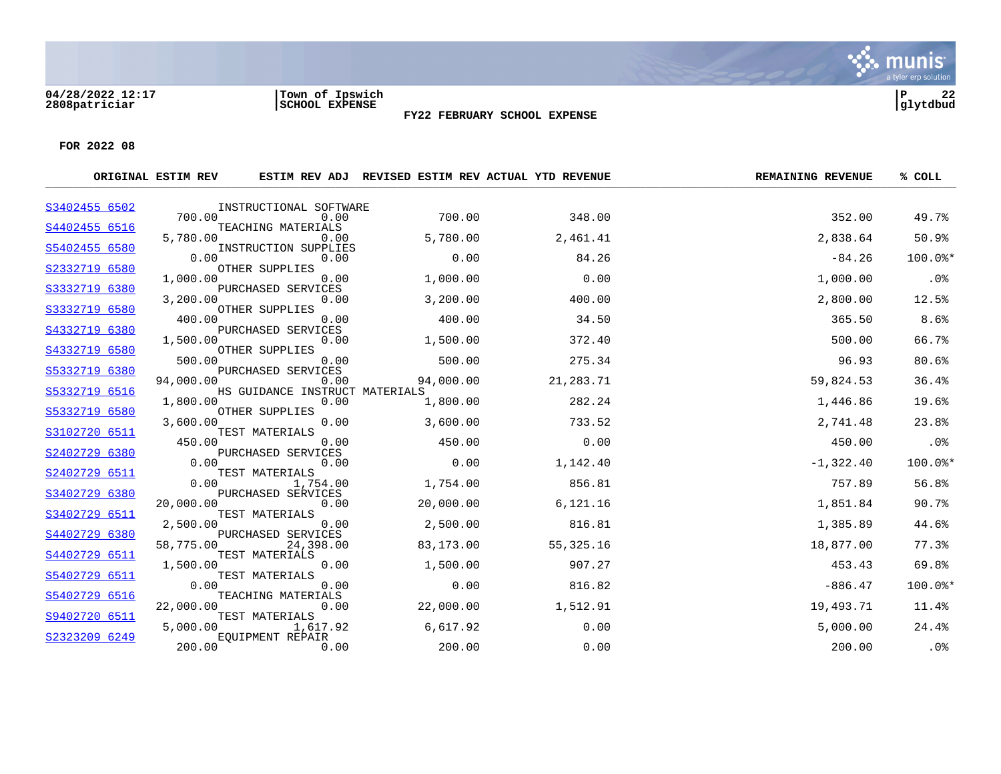#### **04/28/2022 12:17 |Town of Ipswich |P 22 2808patriciar |SCHOOL EXPENSE |glytdbud**



**FY22 FEBRUARY SCHOOL EXPENSE**

|               | ORIGINAL ESTIM REV |                                 | ESTIM REV ADJ REVISED ESTIM REV ACTUAL YTD REVENUE |           | <b>REMAINING REVENUE</b> | % COLL  |
|---------------|--------------------|---------------------------------|----------------------------------------------------|-----------|--------------------------|---------|
| S3402455 6502 |                    | INSTRUCTIONAL SOFTWARE          |                                                    |           |                          |         |
|               | 700.00             | 0.00                            | 700.00                                             | 348.00    | 352.00                   | 49.7%   |
| S4402455 6516 | 5,780.00           | TEACHING MATERIALS<br>0.00      | 5,780.00                                           | 2,461.41  | 2,838.64                 | 50.9%   |
| S5402455 6580 |                    | INSTRUCTION SUPPLIES            |                                                    |           |                          |         |
| S2332719 6580 | 0.00               | 0.00<br>OTHER SUPPLIES          | 0.00                                               | 84.26     | $-84.26$                 | 100.0%* |
|               | 1,000.00           | 0.00                            | 1,000.00                                           | 0.00      | 1,000.00                 | $.0\%$  |
| S3332719 6380 | 3,200.00           | PURCHASED SERVICES              |                                                    | 400.00    |                          |         |
| S3332719 6580 |                    | 0.00<br>OTHER SUPPLIES          | 3,200.00                                           |           | 2,800.00                 | 12.5%   |
|               | 400.00             | 0.00                            | 400.00                                             | 34.50     | 365.50                   | 8.6%    |
| S4332719 6380 | 1,500.00           | PURCHASED SERVICES<br>0.00      | 1,500.00                                           | 372.40    | 500.00                   | 66.7%   |
| S4332719 6580 |                    | OTHER SUPPLIES                  |                                                    |           |                          |         |
| S5332719 6380 | 500.00             | 0.00<br>PURCHASED SERVICES      | 500.00                                             | 275.34    | 96.93                    | 80.6%   |
|               | 94,000.00          | 0.00                            | 94,000.00                                          | 21,283.71 | 59,824.53                | 36.4%   |
| S5332719 6516 |                    | HS GUIDANCE INSTRUCT MATERIALS  |                                                    |           |                          |         |
| S5332719 6580 | 1,800.00           | 0.00<br>OTHER SUPPLIES          | 1,800.00                                           | 282.24    | 1,446.86                 | 19.6%   |
|               | 3,600.00           | 0.00                            | 3,600.00                                           | 733.52    | 2,741.48                 | 23.8%   |
| S3102720 6511 | 450.00             | TEST MATERIALS<br>0.00          | 450.00                                             | 0.00      | 450.00                   | $.0\%$  |
| S2402729 6380 |                    | PURCHASED SERVICES              |                                                    |           |                          |         |
|               | 0.00               | 0.00                            | 0.00                                               | 1,142.40  | $-1,322.40$              | 100.0%* |
| S2402729 6511 | 0.00               | TEST MATERIALS<br>1,754.00      | 1,754.00                                           | 856.81    | 757.89                   | 56.8%   |
| S3402729 6380 |                    | PURCHASED SERVICES              |                                                    |           |                          |         |
| S3402729 6511 | 20,000.00          | 0.00<br>TEST MATERIALS          | 20,000.00                                          | 6,121.16  | 1,851.84                 | 90.7%   |
|               | 2,500.00           | 0.00                            | 2,500.00                                           | 816.81    | 1,385.89                 | 44.6%   |
| S4402729 6380 | 58,775.00          | PURCHASED SERVICES<br>24,398.00 | 83,173.00                                          | 55,325.16 | 18,877.00                | 77.3%   |
| S4402729 6511 |                    | TEST MATERIALS                  |                                                    |           |                          |         |
|               | 1,500.00           | 0.00                            | 1,500.00                                           | 907.27    | 453.43                   | 69.8%   |
| S5402729 6511 | 0.00               | TEST MATERIALS<br>0.00          | 0.00                                               | 816.82    | $-886.47$                | 100.0%* |
| S5402729 6516 |                    | TEACHING MATERIALS              |                                                    |           |                          |         |
| S9402720 6511 | 22,000.00          | 0.00<br>TEST MATERIALS          | 22,000.00                                          | 1,512.91  | 19,493.71                | 11.4%   |
|               | 5,000.00           | 1,617.92                        | 6,617.92                                           | 0.00      | 5,000.00                 | 24.4%   |
| S2323209 6249 |                    | <b>EOUIPMENT REPAIR</b>         |                                                    |           |                          |         |
|               | 200.00             | 0.00                            | 200.00                                             | 0.00      | 200.00                   | .0%     |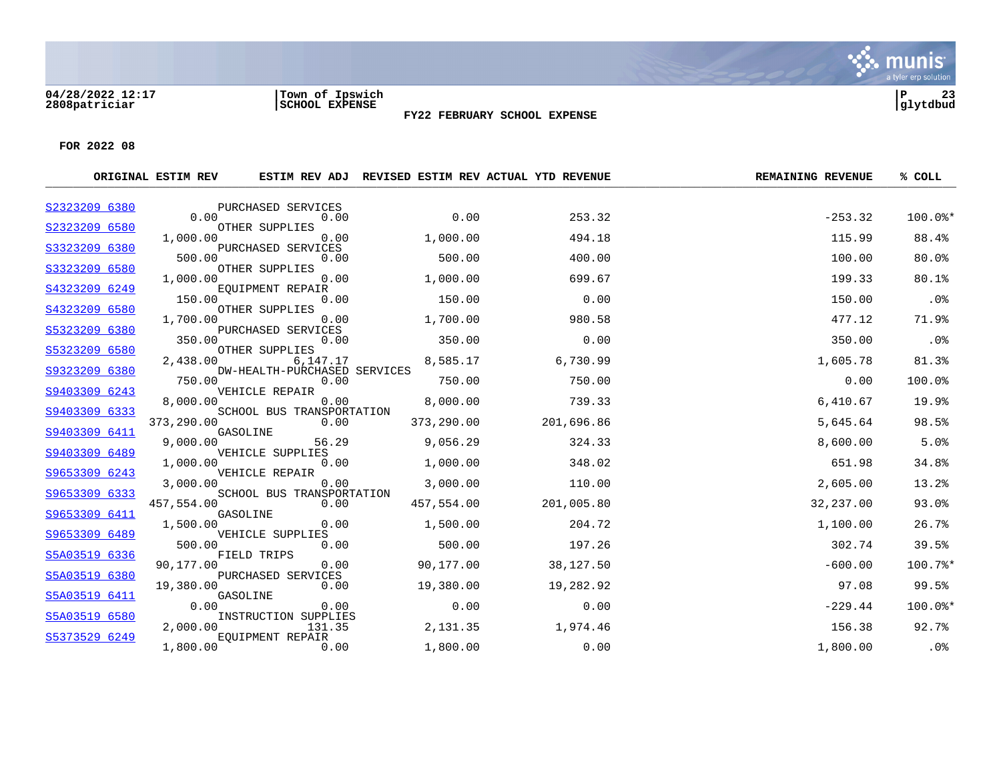#### **04/28/2022 12:17 |Town of Ipswich |P 23 2808patriciar |SCHOOL EXPENSE |glytdbud**



**FOR 2022 08**

|                                | ORIGINAL ESTIM REV |                                                     |            | ESTIM REV ADJ REVISED ESTIM REV ACTUAL YTD REVENUE | <b>REMAINING REVENUE</b> | % COLL  |
|--------------------------------|--------------------|-----------------------------------------------------|------------|----------------------------------------------------|--------------------------|---------|
| S2323209 6380                  | 0.00               | PURCHASED SERVICES<br>0.00                          | 0.00       | 253.32                                             | $-253.32$                | 100.0%* |
| S2323209 6580                  |                    | OTHER SUPPLIES                                      |            |                                                    |                          |         |
|                                | 1,000.00           | 0.00                                                | 1,000.00   | 494.18                                             | 115.99                   | 88.4%   |
| S3323209 6380                  | 500.00             | PURCHASED SERVICES<br>0.00                          | 500.00     | 400.00                                             | 100.00                   | 80.0%   |
| S3323209 6580                  | 1,000.00           | OTHER SUPPLIES<br>0.00                              | 1,000.00   | 699.67                                             | 199.33                   | 80.1%   |
| S4323209 6249                  | 150.00             | EOUIPMENT REPAIR<br>0.00                            | 150.00     | 0.00                                               | 150.00                   | .0%     |
| S4323209 6580                  |                    | OTHER SUPPLIES                                      |            |                                                    |                          |         |
| S5323209 6380                  | 1,700.00           | 0.00<br>PURCHASED SERVICES                          | 1,700.00   | 980.58                                             | 477.12                   | 71.9%   |
| S5323209 6580                  | 350.00             | 0.00<br>OTHER SUPPLIES                              | 350.00     | 0.00                                               | 350.00                   | .0%     |
| S9323209 6380                  | 2,438.00           | 6,147.17<br>DW-HEALTH-PURCHASED SERVICES            | 8,585.17   | 6,730.99                                           | 1,605.78                 | 81.3%   |
|                                | 750.00             | 0.00                                                | 750.00     | 750.00                                             | 0.00                     | 100.0%  |
| S9403309 6243                  | 8,000.00           | VEHICLE REPAIR<br>0.00<br>SCHOOL BUS TRANSPORTATION | 8,000.00   | 739.33                                             | 6,410.67                 | 19.9%   |
| S9403309 6333<br>S9403309 6411 | 373,290.00         | 0.00<br>GASOLINE                                    | 373,290.00 | 201,696.86                                         | 5,645.64                 | 98.5%   |
|                                | 9,000.00           | 56.29                                               | 9,056.29   | 324.33                                             | 8,600.00                 | 5.0%    |
| S9403309 6489                  | 1,000.00           | VEHICLE SUPPLIES<br>0.00                            | 1,000.00   | 348.02                                             | 651.98                   | 34.8%   |
| S9653309 6243                  | 3,000.00           | VEHICLE REPAIR<br>0.00                              | 3,000.00   | 110.00                                             | 2,605.00                 | 13.2%   |
| S9653309 6333                  | 457,554.00         | SCHOOL BUS TRANSPORTATION<br>0.00                   | 457,554.00 | 201,005.80                                         | 32,237.00                | 93.0%   |
| S9653309 6411                  | 1,500.00           | GASOLINE<br>0.00                                    | 1,500.00   | 204.72                                             | 1,100.00                 | 26.7%   |
| S9653309 6489                  | 500.00             | VEHICLE SUPPLIES<br>0.00                            | 500.00     | 197.26                                             | 302.74                   | 39.5%   |
| S5A03519 6336                  | 90,177.00          | FIELD TRIPS<br>0.00                                 | 90,177.00  | 38,127.50                                          | $-600.00$                | 100.7%* |
| S5A03519 6380                  | 19,380.00          | PURCHASED SERVICES<br>0.00                          | 19,380.00  | 19,282.92                                          | 97.08                    | 99.5%   |
| S5A03519 6411                  | 0.00               | GASOLINE<br>0.00                                    | 0.00       | 0.00                                               | $-229.44$                | 100.0%* |
| S5A03519 6580                  | 2,000.00           | INSTRUCTION SUPPLIES<br>131.35                      | 2,131.35   | 1,974.46                                           | 156.38                   | 92.7%   |
| S5373529 6249                  | 1,800.00           | <b>EOUIPMENT REPAIR</b><br>0.00                     | 1,800.00   | 0.00                                               | 1,800.00                 | .0%     |

**FY22 FEBRUARY SCHOOL EXPENSE**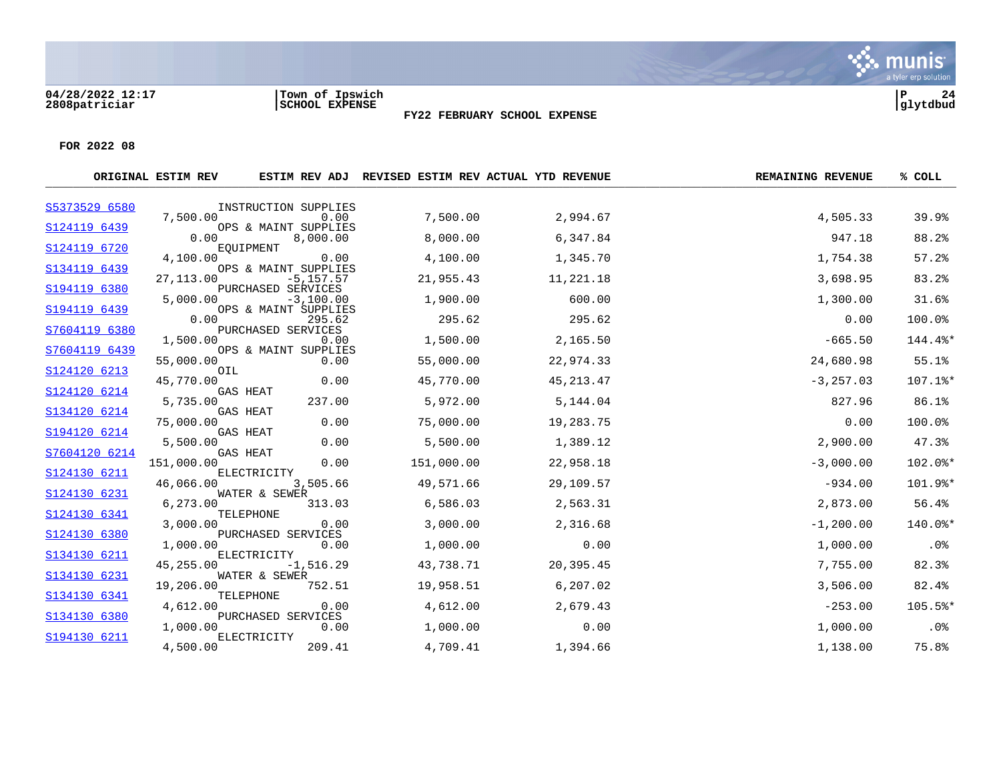#### **04/28/2022 12:17 |Town of Ipswich |P 24 2808patriciar |SCHOOL EXPENSE |glytdbud**



Six munis

**FY22 FEBRUARY SCHOOL EXPENSE**

|               | ORIGINAL ESTIM REV |                                      | ESTIM REV ADJ REVISED ESTIM REV ACTUAL YTD REVENUE |             | <b>REMAINING REVENUE</b> | % COLL  |
|---------------|--------------------|--------------------------------------|----------------------------------------------------|-------------|--------------------------|---------|
| S5373529 6580 |                    | INSTRUCTION SUPPLIES                 |                                                    |             |                          |         |
| S124119 6439  | 7,500.00           | 0.00<br>OPS & MAINT SUPPLIES         | 7,500.00                                           | 2,994.67    | 4,505.33                 | 39.9%   |
|               | 0.00               | 8,000.00                             | 8,000.00                                           | 6,347.84    | 947.18                   | 88.2%   |
| S124119 6720  | 4,100.00           | EQUIPMENT<br>0.00                    | 4,100.00                                           | 1,345.70    | 1,754.38                 | 57.2%   |
| S134119 6439  | 27,113.00          | OPS & MAINT SUPPLIES<br>$-5, 157.57$ | 21,955.43                                          | 11,221.18   | 3,698.95                 | 83.2%   |
| S194119 6380  | 5,000.00           | PURCHASED SERVICES<br>$-3,100.00$    | 1,900.00                                           | 600.00      | 1,300.00                 | 31.6%   |
| S194119 6439  | 0.00               | OPS & MAINT SUPPLIES<br>295.62       | 295.62                                             | 295.62      | 0.00                     | 100.0%  |
| S7604119 6380 | 1,500.00           | PURCHASED SERVICES<br>0.00           | 1,500.00                                           | 2,165.50    | $-665.50$                | 144.4%* |
| S7604119 6439 | 55,000.00          | OPS & MAINT SUPPLIES<br>0.00         | 55,000.00                                          | 22,974.33   | 24,680.98                | 55.1%   |
| S124120 6213  | OIL<br>45,770.00   | 0.00                                 | 45,770.00                                          | 45, 213. 47 | $-3, 257.03$             | 107.1%* |
| S124120 6214  | 5,735.00           | <b>GAS HEAT</b><br>237.00            | 5,972.00                                           | 5,144.04    | 827.96                   | 86.1%   |
| S134120 6214  | 75,000.00          | <b>GAS HEAT</b><br>0.00              | 75,000.00                                          | 19,283.75   | 0.00                     | 100.0%  |
| S194120 6214  | 5,500.00           | GAS HEAT<br>0.00                     | 5,500.00                                           | 1,389.12    | 2,900.00                 | 47.3%   |
| S7604120 6214 | 151,000.00         | GAS HEAT<br>0.00                     | 151,000.00                                         | 22,958.18   | $-3,000.00$              | 102.0%* |
| S124130 6211  | 46,066.00          | ELECTRICITY<br>3,505.66              | 49,571.66                                          | 29,109.57   | $-934.00$                | 101.9%* |
| S124130 6231  | 6,273.00           | WATER & SEWER<br>313.03              | 6,586.03                                           | 2,563.31    | 2,873.00                 | 56.4%   |
| S124130 6341  | 3,000.00           | TELEPHONE<br>0.00                    | 3,000.00                                           | 2,316.68    | $-1, 200.00$             | 140.0%* |
| S124130 6380  | 1,000.00           | PURCHASED SERVICES<br>0.00           | 1,000.00                                           | 0.00        | 1,000.00                 | .0%     |
| S134130 6211  | 45,255.00          | ELECTRICITY<br>$-1,516.29$           | 43,738.71                                          | 20,395.45   | 7,755.00                 | 82.3%   |
| S134130 6231  | 19,206.00          | WATER & SEWER<br>752.51              | 19,958.51                                          | 6,207.02    | 3,506.00                 | 82.4%   |
| S134130 6341  | 4,612.00           | TELEPHONE<br>0.00                    | 4,612.00                                           | 2,679.43    | $-253.00$                | 105.5%* |
| S134130 6380  | 1,000.00           | PURCHASED SERVICES<br>0.00           | 1,000.00                                           | 0.00        | 1,000.00                 | $.0\%$  |
| S194130 6211  | 4,500.00           | ELECTRICITY<br>209.41                | 4,709.41                                           | 1,394.66    | 1,138.00                 | 75.8%   |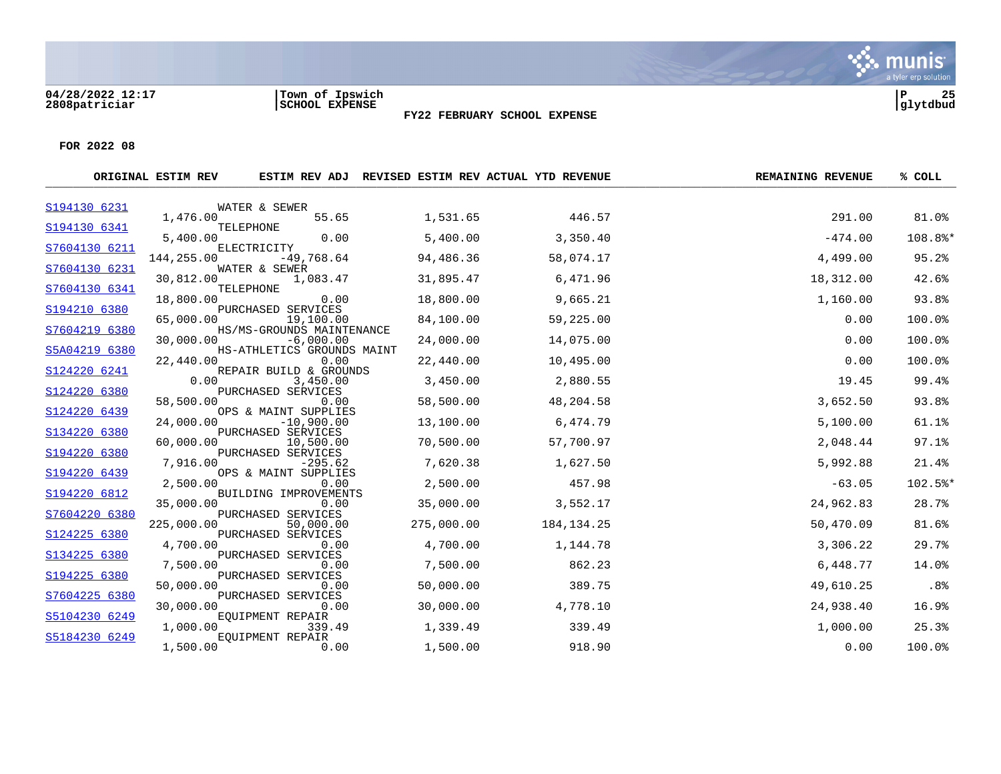

**FY22 FEBRUARY SCHOOL EXPENSE**

|                              | ORIGINAL ESTIM REV |                                                            |            | ESTIM REV ADJ REVISED ESTIM REV ACTUAL YTD REVENUE | <b>REMAINING REVENUE</b> | % COLL  |
|------------------------------|--------------------|------------------------------------------------------------|------------|----------------------------------------------------|--------------------------|---------|
| S194130 6231                 |                    | WATER & SEWER                                              |            |                                                    |                          |         |
| S194130 6341                 | 1,476.00           | 55.65<br>TELEPHONE                                         | 1,531.65   | 446.57                                             | 291.00                   | 81.0%   |
|                              | 5,400.00           | 0.00                                                       | 5,400.00   | 3,350.40                                           | $-474.00$                | 108.8%* |
| S7604130 6211                | 144,255.00         | ELECTRICITY<br>$-49,768.64$                                | 94,486.36  | 58,074.17                                          | 4,499.00                 | 95.2%   |
| S7604130 6231                | 30,812.00          | WATER & SEWER<br>1,083.47                                  | 31,895.47  | 6,471.96                                           | 18,312.00                | 42.6%   |
| S7604130 6341                | 18,800.00          | TELEPHONE<br>0.00                                          | 18,800.00  | 9,665.21                                           | 1,160.00                 | 93.8%   |
| S194210 6380                 | 65,000.00          | PURCHASED SERVICES<br>19,100.00                            | 84,100.00  | 59,225.00                                          | 0.00                     | 100.0%  |
| S7604219 6380                | 30,000.00          | HS/MS-GROUNDS MAINTENANCE<br>$-6,000.00$                   | 24,000.00  | 14,075.00                                          | 0.00                     | 100.0%  |
| S5A04219 6380                | 22,440.00          | HS-ATHLETICS GROUNDS MAINT<br>0.00                         | 22,440.00  | 10,495.00                                          | 0.00                     | 100.0%  |
| S124220 6241                 | 0.00               | REPAIR BUILD & GROUNDS<br>3,450.00                         | 3,450.00   | 2,880.55                                           | 19.45                    | 99.4%   |
| S124220 6380                 | 58,500.00          | PURCHASED SERVICES<br>0.00                                 | 58,500.00  | 48,204.58                                          | 3,652.50                 | 93.8%   |
| S124220 6439<br>S134220 6380 | 24,000.00          | OPS & MAINT SUPPLIES<br>$-10,900.00$<br>PURCHASED SERVICES | 13,100.00  | 6,474.79                                           | 5,100.00                 | 61.1%   |
| S194220 6380                 | 60,000.00          | 10,500.00<br>PURCHASED SERVICES                            | 70,500.00  | 57,700.97                                          | 2,048.44                 | 97.1%   |
|                              | 7,916.00           | $-295.62$                                                  | 7,620.38   | 1,627.50                                           | 5,992.88                 | 21.4%   |
| S194220 6439<br>S194220 6812 | 2,500.00           | OPS & MAINT SUPPLIES<br>0.00                               | 2,500.00   | 457.98                                             | $-63.05$                 | 102.5%* |
| S7604220 6380                | 35,000.00          | BUILDING IMPROVEMENTS<br>0.00<br>PURCHASED SERVICES        | 35,000.00  | 3,552.17                                           | 24,962.83                | 28.7%   |
| S124225 6380                 | 225,000.00         | 50,000.00<br>PURCHASED SERVICES                            | 275,000.00 | 184, 134. 25                                       | 50,470.09                | 81.6%   |
| S134225 6380                 | 4,700.00           | 0.00<br>PURCHASED SERVICES                                 | 4,700.00   | 1,144.78                                           | 3,306.22                 | 29.7%   |
| S194225 6380                 | 7,500.00           | 0.00<br>PURCHASED SERVICES                                 | 7,500.00   | 862.23                                             | 6,448.77                 | 14.0%   |
| S7604225 6380                | 50,000.00          | 0.00<br>PURCHASED SERVICES                                 | 50,000.00  | 389.75                                             | 49,610.25                | .8%     |
| S5104230 6249                | 30,000.00          | 0.00<br>EQUIPMENT REPAIR                                   | 30,000.00  | 4,778.10                                           | 24,938.40                | 16.9%   |
| S5184230 6249                | 1,000.00           | 339.49<br><b>EOUIPMENT REPAIR</b>                          | 1,339.49   | 339.49                                             | 1,000.00                 | 25.3%   |
|                              | 1,500.00           | 0.00                                                       | 1,500.00   | 918.90                                             | 0.00                     | 100.0%  |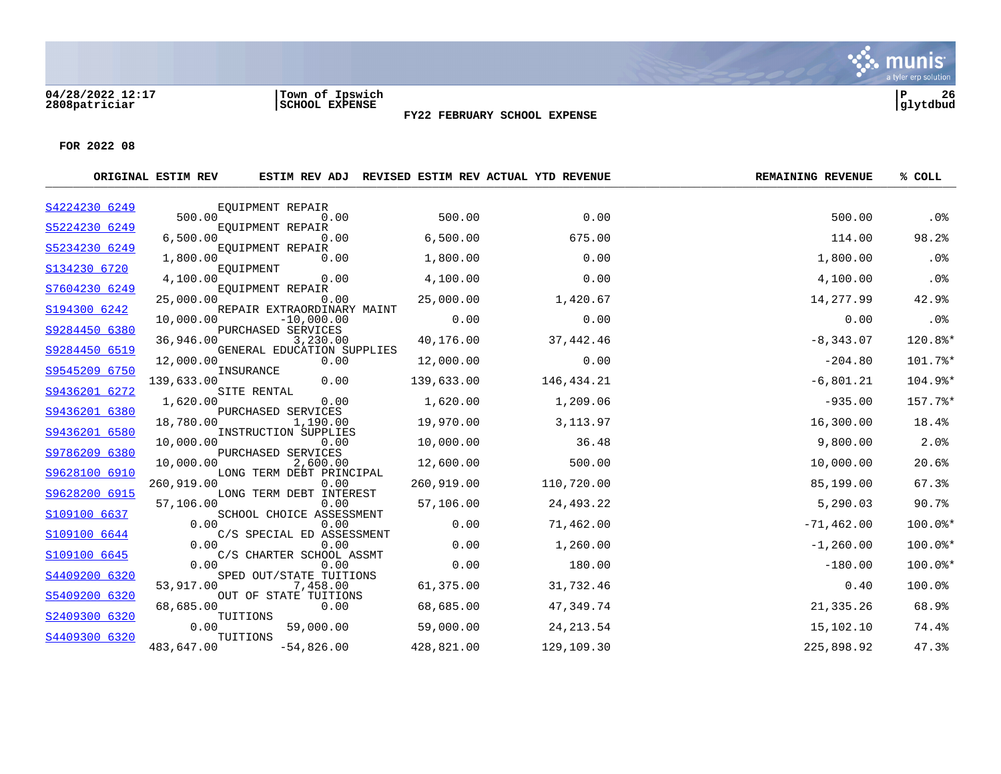#### **04/28/2022 12:17 |Town of Ipswich |P 26 2808patriciar |SCHOOL EXPENSE |glytdbud**



**FY22 FEBRUARY SCHOOL EXPENSE**

|               | ORIGINAL ESTIM REV |                                      |            | ESTIM REV ADJ REVISED ESTIM REV ACTUAL YTD REVENUE | <b>REMAINING REVENUE</b> | % COLL  |
|---------------|--------------------|--------------------------------------|------------|----------------------------------------------------|--------------------------|---------|
| S4224230 6249 |                    | EOUIPMENT REPAIR                     |            |                                                    |                          |         |
| S5224230 6249 | 500.00             | 0.00<br>EQUIPMENT REPAIR             | 500.00     | 0.00                                               | 500.00                   | .0%     |
|               | 6,500.00           | 0.00                                 | 6,500.00   | 675.00                                             | 114.00                   | 98.2%   |
| S5234230 6249 | 1,800.00           | EQUIPMENT REPAIR<br>0.00             | 1,800.00   | 0.00                                               | 1,800.00                 | .0%     |
| S134230 6720  | 4,100.00           | EQUIPMENT<br>0.00                    | 4,100.00   | 0.00                                               | 4,100.00                 | .0%     |
| S7604230 6249 |                    | EOUIPMENT REPAIR                     |            |                                                    |                          |         |
| S194300 6242  | 25,000.00          | 0.00<br>REPAIR EXTRAORDINARY MAINT   | 25,000.00  | 1,420.67                                           | 14,277.99                | 42.9%   |
| S9284450 6380 | 10,000.00          | $-10,000.00$<br>PURCHASED SERVICES   | 0.00       | 0.00                                               | 0.00                     | .0%     |
|               | 36,946.00          | 3,230.00                             | 40,176.00  | 37,442.46                                          | $-8,343.07$              | 120.8%* |
| S9284450 6519 | 12,000.00          | GENERAL EDUCATION SUPPLIES<br>0.00   | 12,000.00  | 0.00                                               | $-204.80$                | 101.7%* |
| S9545209 6750 | 139,633.00         | INSURANCE<br>0.00                    | 139,633.00 | 146,434.21                                         | $-6,801.21$              | 104.9%* |
| S9436201 6272 | 1,620.00           | SITE RENTAL<br>0.00                  | 1,620.00   | 1,209.06                                           | $-935.00$                | 157.7%* |
| S9436201 6380 | 18,780.00          | PURCHASED SERVICES<br>1,190.00       | 19,970.00  | 3, 113.97                                          | 16,300.00                | 18.4%   |
| S9436201 6580 |                    | INSTRUCTION SUPPLIES                 |            |                                                    |                          |         |
| S9786209 6380 | 10,000.00          | 0.00<br>PURCHASED SERVICES           | 10,000.00  | 36.48                                              | 9,800.00                 | 2.0%    |
| S9628100 6910 | 10,000.00          | 2,600.00<br>LONG TERM DEBT PRINCIPAL | 12,600.00  | 500.00                                             | 10,000.00                | 20.6%   |
|               | 260,919.00         | 0.00                                 | 260,919.00 | 110,720.00                                         | 85,199.00                | 67.3%   |
| S9628200 6915 | 57,106.00          | LONG TERM DEBT INTEREST<br>0.00      | 57,106.00  | 24,493.22                                          | 5,290.03                 | 90.7%   |
| S109100 6637  | 0.00               | SCHOOL CHOICE ASSESSMENT<br>0.00     | 0.00       | 71,462.00                                          | $-71, 462.00$            | 100.0%* |
| S109100 6644  | 0.00               | C/S SPECIAL ED ASSESSMENT<br>0.00    | 0.00       | 1,260.00                                           | $-1, 260.00$             | 100.0%* |
| S109100 6645  | 0.00               | C/S CHARTER SCHOOL ASSMT<br>0.00     | 0.00       | 180.00                                             | $-180.00$                | 100.0%* |
| S4409200 6320 |                    | SPED OUT/STATE TUITIONS              |            |                                                    |                          |         |
| S5409200 6320 | 53,917.00          | 7,458.00<br>OUT OF STATE TUITIONS    | 61,375.00  | 31,732.46                                          | 0.40                     | 100.0%  |
| S2409300 6320 | 68,685.00          | 0.00<br>TUITIONS                     | 68,685.00  | 47,349.74                                          | 21,335.26                | 68.9%   |
|               | 0.00               | 59,000.00                            | 59,000.00  | 24, 213.54                                         | 15,102.10                | 74.4%   |
| S4409300 6320 | 483,647.00         | TUITIONS<br>$-54,826.00$             | 428,821.00 | 129,109.30                                         | 225,898.92               | 47.3%   |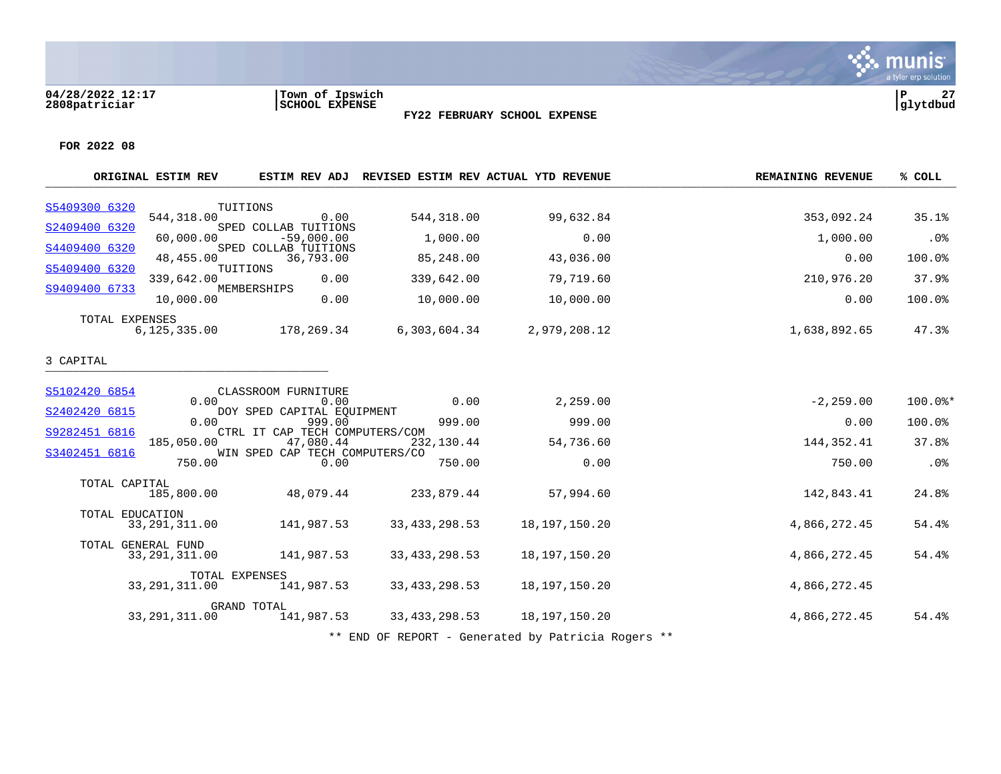#### **04/28/2022 12:17 |Town of Ipswich |P 27 2808patriciar |SCHOOL EXPENSE |glytdbud**

#### **FY22 FEBRUARY SCHOOL EXPENSE**

a tyler erp solution

. munis<sup>.</sup>

**FOR 2022 08**

|                 | ORIGINAL ESTIM REV                    |                                             |                 | ESTIM REV ADJ REVISED ESTIM REV ACTUAL YTD REVENUE | <b>REMAINING REVENUE</b> | % COLL  |
|-----------------|---------------------------------------|---------------------------------------------|-----------------|----------------------------------------------------|--------------------------|---------|
| S5409300 6320   |                                       | TUITIONS                                    |                 |                                                    |                          |         |
| S2409400 6320   | 544, 318.00                           | 0.00<br>SPED COLLAB TUITIONS                | 544,318.00      | 99,632.84                                          | 353,092.24               | 35.1%   |
|                 | 60,000.00                             | $-59,000.00$                                | 1,000.00        | 0.00                                               | 1,000.00                 | $.0\%$  |
| S4409400 6320   | 48,455.00                             | SPED COLLAB TUITIONS<br>36,793.00           | 85,248.00       | 43,036.00                                          | 0.00                     | 100.0%  |
| S5409400 6320   | 339,642.00                            | TUITIONS<br>0.00                            | 339,642.00      | 79,719.60                                          | 210,976.20               | 37.9%   |
| S9409400 6733   | 10,000.00                             | MEMBERSHIPS<br>0.00                         | 10,000.00       | 10,000.00                                          | 0.00                     | 100.0%  |
| TOTAL EXPENSES  |                                       |                                             |                 |                                                    |                          |         |
|                 | 6, 125, 335.00                        | 178,269.34                                  | 6,303,604.34    | 2,979,208.12                                       | 1,638,892.65             | 47.3%   |
| 3 CAPITAL       |                                       |                                             |                 |                                                    |                          |         |
| S5102420 6854   |                                       | CLASSROOM FURNITURE                         |                 |                                                    |                          |         |
| S2402420 6815   | 0.00                                  | 0.00<br>DOY SPED CAPITAL EQUIPMENT          | 0.00            | 2,259.00                                           | $-2, 259.00$             | 100.0%* |
|                 | 0.00                                  | 999.00                                      | 999.00          | 999.00                                             | 0.00                     | 100.0%  |
| S9282451 6816   | 185,050.00                            | CTRL IT CAP TECH COMPUTERS/COM<br>47,080.44 | 232,130.44      | 54,736.60                                          | 144, 352.41              | 37.8%   |
| S3402451 6816   | 750.00                                | WIN SPED CAP TECH COMPUTERS/CO<br>0.00      | 750.00          | 0.00                                               | 750.00                   | .0%     |
| TOTAL CAPITAL   |                                       |                                             |                 |                                                    |                          |         |
|                 | 185,800.00                            | 48,079.44                                   | 233,879.44      | 57,994.60                                          | 142,843.41               | 24.8%   |
| TOTAL EDUCATION | 33, 291, 311.00                       | 141,987.53                                  | 33, 433, 298.53 | 18, 197, 150. 20                                   | 4,866,272.45             | 54.4%   |
|                 | TOTAL GENERAL FUND<br>33, 291, 311.00 | 141,987.53                                  | 33, 433, 298.53 | 18,197,150.20                                      | 4,866,272.45             | 54.4%   |
|                 | TOTAL EXPENSES<br>33, 291, 311.00     | 141,987.53                                  | 33, 433, 298.53 | 18,197,150.20                                      | 4,866,272.45             |         |
|                 |                                       | GRAND TOTAL                                 |                 |                                                    |                          |         |
|                 | 33, 291, 311.00                       | 141,987.53                                  | 33, 433, 298.53 | 18,197,150.20                                      | 4,866,272.45             | 54.4%   |

\*\* END OF REPORT - Generated by Patricia Rogers \*\*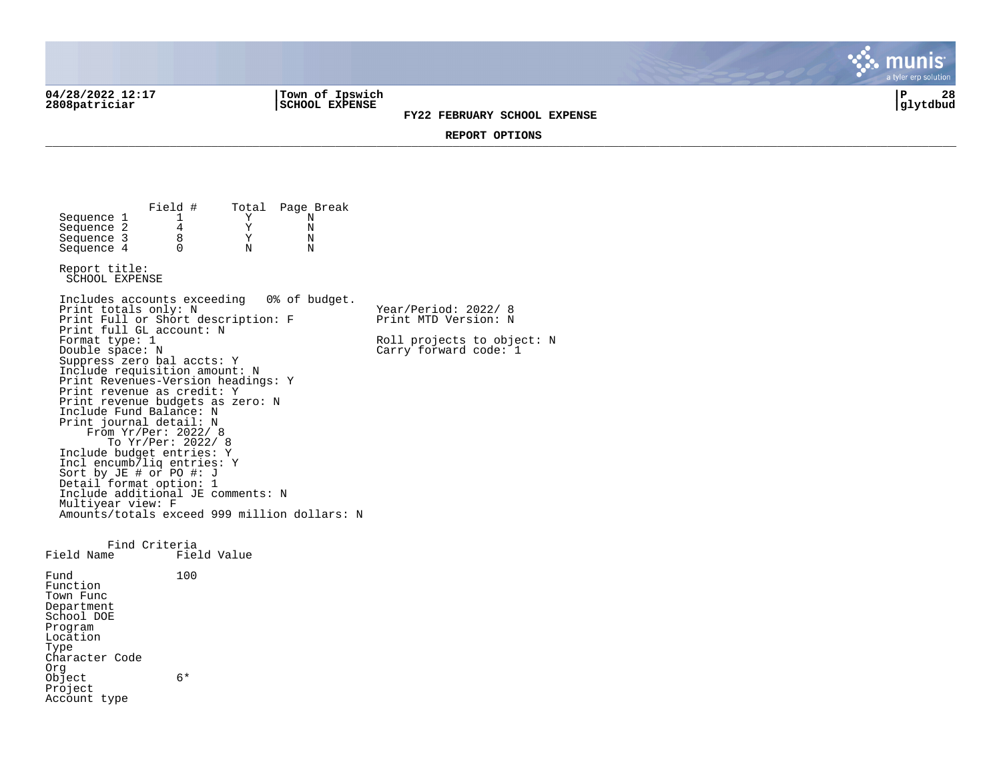**04/28/2022 12:17 |Town of Ipswich |P 28 2808patriciar |SCHOOL EXPENSE |glytdbud**

**FY22 FEBRUARY SCHOOL EXPENSE**



**REPORT OPTIONS**  \_\_\_\_\_\_\_\_\_\_\_\_\_\_\_\_\_\_\_\_\_\_\_\_\_\_\_\_\_\_\_\_\_\_\_\_\_\_\_\_\_\_\_\_\_\_\_\_\_\_\_\_\_\_\_\_\_\_\_\_\_\_\_\_\_\_\_\_\_\_\_\_\_\_\_\_\_\_\_\_\_\_\_\_\_\_\_\_\_\_\_\_\_\_\_\_\_\_\_\_\_\_\_\_\_\_\_\_\_\_\_\_\_\_\_\_\_\_\_\_\_\_\_\_\_\_\_\_\_\_\_\_

Field # Total Page Break<br>1 Y N Sequence 1 1 1 Y N<br>Sequence 2 4 Y N Sequence 2  $\begin{array}{ccc} 4 & & Y & N \\ 2 & & 8 & Y & N \\ 3 & & 8 & & Y & N \end{array}$ Sequence 3 8 Y N<br>Sequence 4 0 N N  $Sequence 4$ Report title: SCHOOL EXPENSE Includes accounts exceeding 0% of budget. Print totals only: N Year/Period: 2022/ 8 Print Full or Short description: F Print MTD Version: N Print full GL account: N<br>Format type: 1 Format type: 1 Roll projects to object: N<br>
Double space: N<br>
Carry forward code: 1  $Carry$  forward code:  $1$ Suppress zero bal accts: Y Include requisition amount: N Print Revenues-Version headings: Y Print revenue as credit: Y Print revenue budgets as zero: N Include Fund Balance: N Print journal detail: N From Yr/Per: 2022/ 8 To Yr/Per: 2022/ 8 Include budget entries: Y Incl encumb/liq entries: Y Sort by JE # or PO #: J Detail format option: 1 Include additional JE comments: N Multiyear view: F Amounts/totals exceed 999 million dollars: N Find Criteria<br>Field Name Fiel Field Value Fund 100 Function Town Func Department School DOE Program Location Type Character Code Org Object 6\* Project Account type